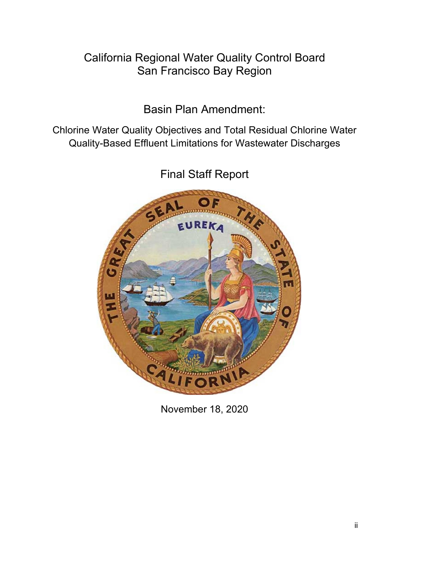# California Regional Water Quality Control Board San Francisco Bay Region

Basin Plan Amendment:

Chlorine Water Quality Objectives and Total Residual Chlorine Water Quality-Based Effluent Limitations for Wastewater Discharges

> EUREKA **A**

Final Staff Report

November 18, 2020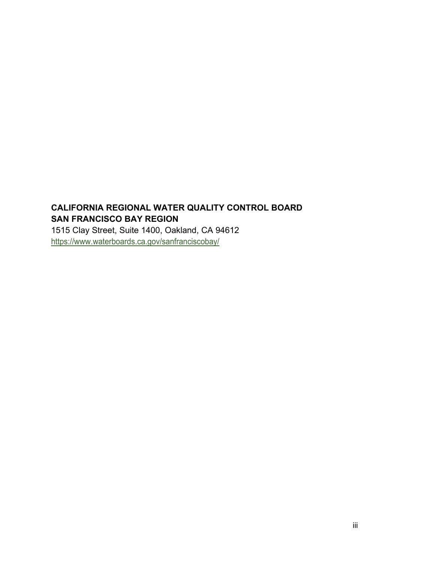# **CALIFORNIA REGIONAL WATER QUALITY CONTROL BOARD SAN FRANCISCO BAY REGION**

1515 Clay Street, Suite 1400, Oakland, CA 94612 <https://www.waterboards.ca.gov/sanfranciscobay/>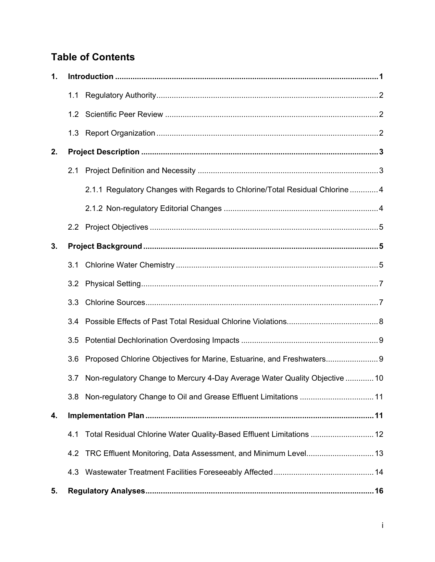# **Table of Contents**

| 1. |     |                                                                              |
|----|-----|------------------------------------------------------------------------------|
|    |     |                                                                              |
|    |     |                                                                              |
|    |     |                                                                              |
| 2. |     |                                                                              |
|    |     |                                                                              |
|    |     | 2.1.1 Regulatory Changes with Regards to Chlorine/Total Residual Chlorine  4 |
|    |     |                                                                              |
|    |     |                                                                              |
| 3. |     |                                                                              |
|    |     |                                                                              |
|    |     |                                                                              |
|    | 3.3 |                                                                              |
|    | 3.4 |                                                                              |
|    | 3.5 |                                                                              |
|    | 3.6 | Proposed Chlorine Objectives for Marine, Estuarine, and Freshwaters          |
|    | 3.7 | Non-regulatory Change to Mercury 4-Day Average Water Quality Objective  10   |
|    |     | 3.8 Non-regulatory Change to Oil and Grease Effluent Limitations  11         |
| 4. |     |                                                                              |
|    | 4.1 | Total Residual Chlorine Water Quality-Based Effluent Limitations  12         |
|    | 4.2 |                                                                              |
|    | 4.3 |                                                                              |
| 5. |     |                                                                              |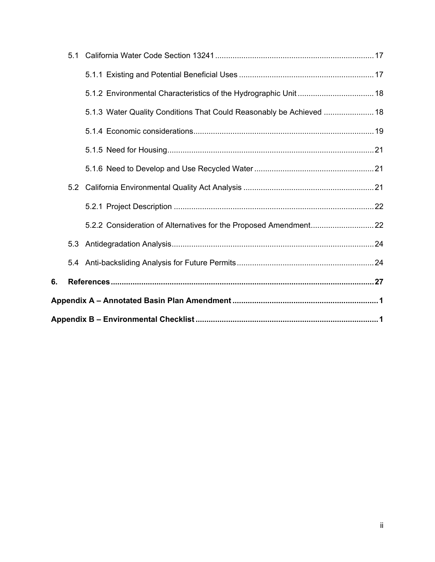|    |     | 5.1.3 Water Quality Conditions That Could Reasonably be Achieved  18 |  |  |  |  |  |
|----|-----|----------------------------------------------------------------------|--|--|--|--|--|
|    |     |                                                                      |  |  |  |  |  |
|    |     |                                                                      |  |  |  |  |  |
|    |     |                                                                      |  |  |  |  |  |
|    |     |                                                                      |  |  |  |  |  |
|    |     |                                                                      |  |  |  |  |  |
|    |     |                                                                      |  |  |  |  |  |
|    | 5.3 |                                                                      |  |  |  |  |  |
|    |     |                                                                      |  |  |  |  |  |
| 6. |     |                                                                      |  |  |  |  |  |
|    |     |                                                                      |  |  |  |  |  |
|    |     |                                                                      |  |  |  |  |  |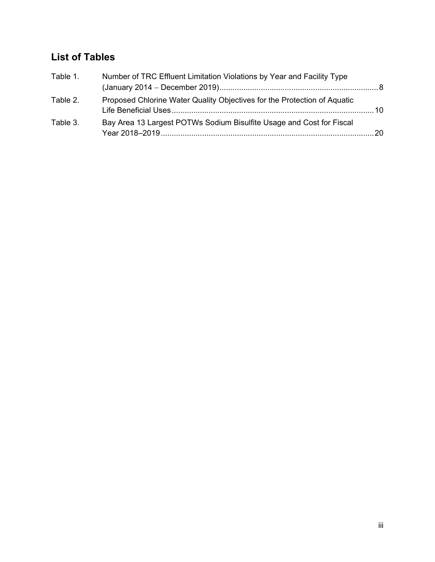# **List of Tables**

| Table 1. | Number of TRC Effluent Limitation Violations by Year and Facility Type   |  |
|----------|--------------------------------------------------------------------------|--|
|          |                                                                          |  |
| Table 2. | Proposed Chlorine Water Quality Objectives for the Protection of Aquatic |  |
| Table 3. | Bay Area 13 Largest POTWs Sodium Bisulfite Usage and Cost for Fiscal     |  |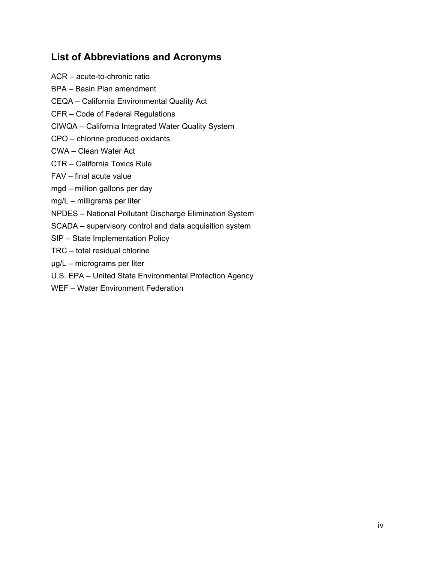# **List of Abbreviations and Acronyms**

- ACR acute-to-chronic ratio BPA – Basin Plan amendment CEQA – California Environmental Quality Act CFR – Code of Federal Regulations CIWQA – California Integrated Water Quality System CPO – chlorine produced oxidants CWA – Clean Water Act CTR – California Toxics Rule FAV – final acute value mgd – million gallons per day mg/L – milligrams per liter NPDES – National Pollutant Discharge Elimination System SCADA – supervisory control and data acquisition system SIP – State Implementation Policy TRC – total residual chlorine µg/L – micrograms per liter U.S. EPA – United State Environmental Protection Agency
- WEF Water Environment Federation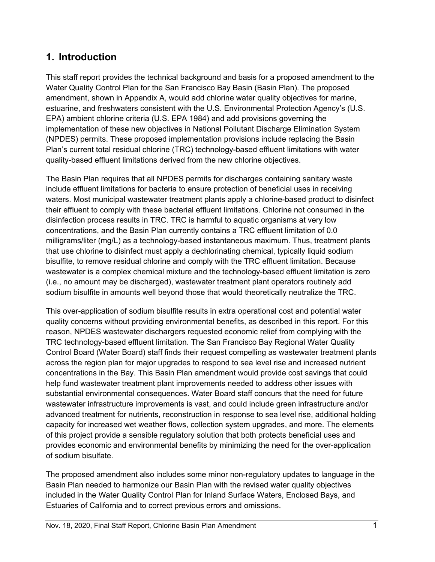# <span id="page-6-0"></span>**1. Introduction**

This staff report provides the technical background and basis for a proposed amendment to the Water Quality Control Plan for the San Francisco Bay Basin (Basin Plan). The proposed amendment, shown in Appendix A, would add chlorine water quality objectives for marine, estuarine, and freshwaters consistent with the U.S. Environmental Protection Agency's (U.S. EPA) ambient chlorine criteria (U.S. EPA 1984) and add provisions governing the implementation of these new objectives in National Pollutant Discharge Elimination System (NPDES) permits. These proposed implementation provisions include replacing the Basin Plan's current total residual chlorine (TRC) technology-based effluent limitations with water quality-based effluent limitations derived from the new chlorine objectives.

The Basin Plan requires that all NPDES permits for discharges containing sanitary waste include effluent limitations for bacteria to ensure protection of beneficial uses in receiving waters. Most municipal wastewater treatment plants apply a chlorine-based product to disinfect their effluent to comply with these bacterial effluent limitations. Chlorine not consumed in the disinfection process results in TRC. TRC is harmful to aquatic organisms at very low concentrations, and the Basin Plan currently contains a TRC effluent limitation of 0.0 milligrams/liter (mg/L) as a technology-based instantaneous maximum. Thus, treatment plants that use chlorine to disinfect must apply a dechlorinating chemical, typically liquid sodium bisulfite, to remove residual chlorine and comply with the TRC effluent limitation. Because wastewater is a complex chemical mixture and the technology-based effluent limitation is zero (i.e., no amount may be discharged), wastewater treatment plant operators routinely add sodium bisulfite in amounts well beyond those that would theoretically neutralize the TRC.

This over-application of sodium bisulfite results in extra operational cost and potential water quality concerns without providing environmental benefits, as described in this report. For this reason, NPDES wastewater dischargers requested economic relief from complying with the TRC technology-based effluent limitation. The San Francisco Bay Regional Water Quality Control Board (Water Board) staff finds their request compelling as wastewater treatment plants across the region plan for major upgrades to respond to sea level rise and increased nutrient concentrations in the Bay. This Basin Plan amendment would provide cost savings that could help fund wastewater treatment plant improvements needed to address other issues with substantial environmental consequences. Water Board staff concurs that the need for future wastewater infrastructure improvements is vast, and could include green infrastructure and/or advanced treatment for nutrients, reconstruction in response to sea level rise, additional holding capacity for increased wet weather flows, collection system upgrades, and more. The elements of this project provide a sensible regulatory solution that both protects beneficial uses and provides economic and environmental benefits by minimizing the need for the over-application of sodium bisulfate.

The proposed amendment also includes some minor non-regulatory updates to language in the Basin Plan needed to harmonize our Basin Plan with the revised water quality objectives included in the Water Quality Control Plan for Inland Surface Waters, Enclosed Bays, and Estuaries of California and to correct previous errors and omissions.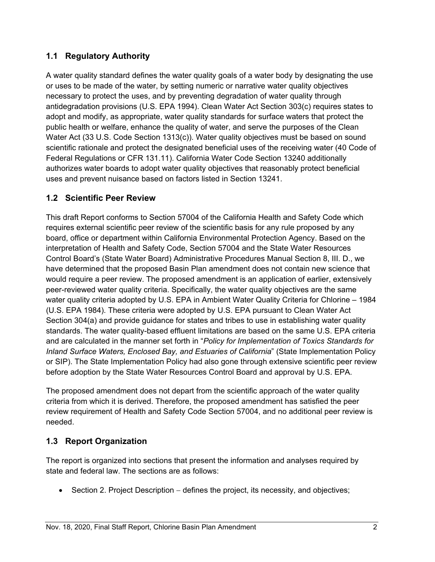## <span id="page-7-0"></span>**1.1 Regulatory Authority**

A water quality standard defines the water quality goals of a water body by designating the use or uses to be made of the water, by setting numeric or narrative water quality objectives necessary to protect the uses, and by preventing degradation of water quality through antidegradation provisions (U.S. EPA 1994). Clean Water Act Section 303(c) requires states to adopt and modify, as appropriate, water quality standards for surface waters that protect the public health or welfare, enhance the quality of water, and serve the purposes of the Clean Water Act (33 U.S. Code Section 1313(c)). Water quality objectives must be based on sound scientific rationale and protect the designated beneficial uses of the receiving water (40 Code of Federal Regulations or CFR 131.11). California Water Code Section 13240 additionally authorizes water boards to adopt water quality objectives that reasonably protect beneficial uses and prevent nuisance based on factors listed in Section 13241.

### <span id="page-7-1"></span>**1.2 Scientific Peer Review**

This draft Report conforms to Section 57004 of the California Health and Safety Code which requires external scientific peer review of the scientific basis for any rule proposed by any board, office or department within California Environmental Protection Agency. Based on the interpretation of Health and Safety Code, Section 57004 and the State Water Resources Control Board's (State Water Board) Administrative Procedures Manual Section 8, III. D., we have determined that the proposed Basin Plan amendment does not contain new science that would require a peer review. The proposed amendment is an application of earlier, extensively peer-reviewed water quality criteria. Specifically, the water quality objectives are the same water quality criteria adopted by U.S. EPA in Ambient Water Quality Criteria for Chlorine – 1984 (U.S. EPA 1984). These criteria were adopted by U.S. EPA pursuant to Clean Water Act Section 304(a) and provide guidance for states and tribes to use in establishing water quality standards. The water quality-based effluent limitations are based on the same U.S. EPA criteria and are calculated in the manner set forth in "*Policy for Implementation of Toxics Standards for Inland Surface Waters, Enclosed Bay, and Estuaries of California*" (State Implementation Policy or SIP). The State Implementation Policy had also gone through extensive scientific peer review before adoption by the State Water Resources Control Board and approval by U.S. EPA.

The proposed amendment does not depart from the scientific approach of the water quality criteria from which it is derived. Therefore, the proposed amendment has satisfied the peer review requirement of Health and Safety Code Section 57004, and no additional peer review is needed.

## <span id="page-7-2"></span>**1.3 Report Organization**

The report is organized into sections that present the information and analyses required by state and federal law. The sections are as follows:

• Section 2. Project Description − defines the project, its necessity, and objectives;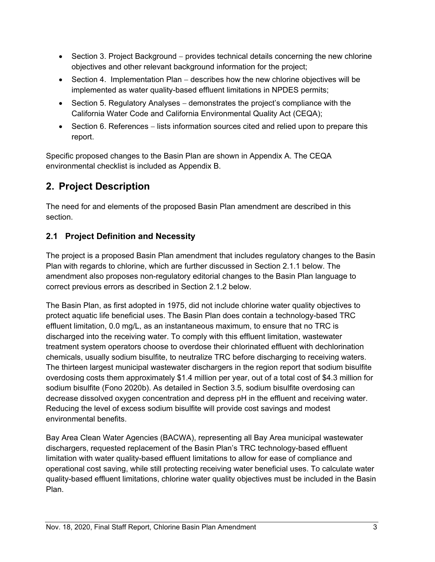- Section 3. Project Background − provides technical details concerning the new chlorine objectives and other relevant background information for the project;
- Section 4. Implementation Plan − describes how the new chlorine objectives will be implemented as water quality-based effluent limitations in NPDES permits;
- Section 5. Regulatory Analyses demonstrates the project's compliance with the California Water Code and California Environmental Quality Act (CEQA);
- Section 6. References − lists information sources cited and relied upon to prepare this report.

Specific proposed changes to the Basin Plan are shown in Appendix A. The CEQA environmental checklist is included as Appendix B.

# <span id="page-8-0"></span>**2. Project Description**

The need for and elements of the proposed Basin Plan amendment are described in this section.

# <span id="page-8-1"></span>**2.1 Project Definition and Necessity**

The project is a proposed Basin Plan amendment that includes regulatory changes to the Basin Plan with regards to chlorine, which are further discussed in Section 2.1.1 below. The amendment also proposes non-regulatory editorial changes to the Basin Plan language to correct previous errors as described in Section 2.1.2 below.

The Basin Plan, as first adopted in 1975, did not include chlorine water quality objectives to protect aquatic life beneficial uses. The Basin Plan does contain a technology-based TRC effluent limitation, 0.0 mg/L, as an instantaneous maximum, to ensure that no TRC is discharged into the receiving water. To comply with this effluent limitation, wastewater treatment system operators choose to overdose their chlorinated effluent with dechlorination chemicals, usually sodium bisulfite, to neutralize TRC before discharging to receiving waters. The thirteen largest municipal wastewater dischargers in the region report that sodium bisulfite overdosing costs them approximately \$1.4 million per year, out of a total cost of \$4.3 million for sodium bisulfite (Fono 2020b). As detailed in Section 3.5, sodium bisulfite overdosing can decrease dissolved oxygen concentration and depress pH in the effluent and receiving water. Reducing the level of excess sodium bisulfite will provide cost savings and modest environmental benefits.

Bay Area Clean Water Agencies (BACWA), representing all Bay Area municipal wastewater dischargers, requested replacement of the Basin Plan's TRC technology-based effluent limitation with water quality-based effluent limitations to allow for ease of compliance and operational cost saving, while still protecting receiving water beneficial uses. To calculate water quality-based effluent limitations, chlorine water quality objectives must be included in the Basin Plan.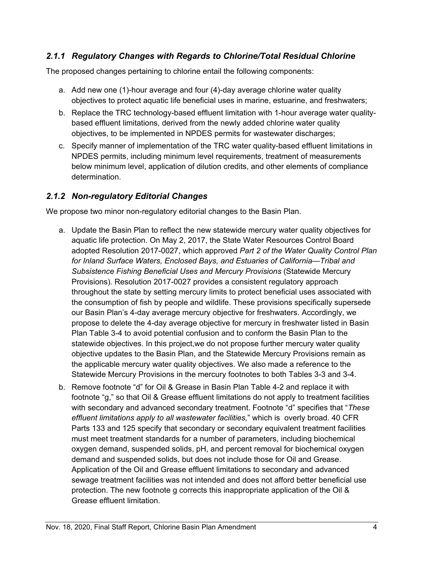### <span id="page-9-0"></span>*2.1.1 Regulatory Changes with Regards to Chlorine/Total Residual Chlorine*

The proposed changes pertaining to chlorine entail the following components:

- a. Add new one (1)-hour average and four (4)-day average chlorine water quality objectives to protect aquatic life beneficial uses in marine, estuarine, and freshwaters;
- b. Replace the TRC technology-based effluent limitation with 1-hour average water qualitybased effluent limitations, derived from the newly added chlorine water quality objectives, to be implemented in NPDES permits for wastewater discharges;
- c. Specify manner of implementation of the TRC water quality-based effluent limitations in NPDES permits, including minimum level requirements, treatment of measurements below minimum level, application of dilution credits, and other elements of compliance determination.

### <span id="page-9-1"></span>*2.1.2 Non-regulatory Editorial Changes*

We propose two minor non-regulatory editorial changes to the Basin Plan.

- a. Update the Basin Plan to reflect the new statewide mercury water quality objectives for aquatic life protection. On May 2, 2017, the State Water Resources Control Board adopted Resolution 2017-0027, which approved *Part 2 of the Water Quality Control Plan for Inland Surface Waters, Enclosed Bays, and Estuaries of California—Tribal and Subsistence Fishing Beneficial Uses and Mercury Provisions* (Statewide Mercury Provisions)*.* Resolution 2017-0027 provides a consistent regulatory approach throughout the state by setting mercury limits to protect beneficial uses associated with the consumption of fish by people and wildlife. These provisions specifically supersede our Basin Plan's 4-day average mercury objective for freshwaters. Accordingly, we propose to delete the 4-day average objective for mercury in freshwater listed in Basin Plan Table 3-4 to avoid potential confusion and to conform the Basin Plan to the statewide objectives. In this project,we do not propose further mercury water quality objective updates to the Basin Plan, and the Statewide Mercury Provisions remain as the applicable mercury water quality objectives. We also made a reference to the Statewide Mercury Provisions in the mercury footnotes to both Tables 3-3 and 3-4.
- b. Remove footnote "d" for Oil & Grease in Basin Plan Table 4-2 and replace it with footnote "g," so that Oil & Grease effluent limitations do not apply to treatment facilities with secondary and advanced secondary treatment. Footnote "d" specifies that "*These effluent limitations apply to all wastewater facilities,*" which is overly broad. 40 CFR Parts 133 and 125 specify that secondary or secondary equivalent treatment facilities must meet treatment standards for a number of parameters, including biochemical oxygen demand, suspended solids, pH, and percent removal for biochemical oxygen demand and suspended solids, but does not include those for Oil and Grease. Application of the Oil and Grease effluent limitations to secondary and advanced sewage treatment facilities was not intended and does not afford better beneficial use protection. The new footnote g corrects this inappropriate application of the Oil & Grease effluent limitation.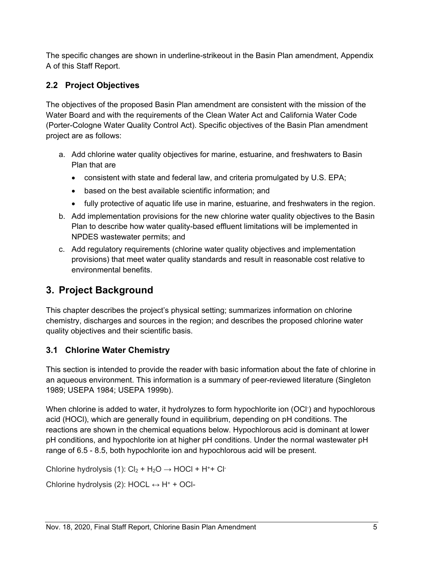The specific changes are shown in underline-strikeout in the Basin Plan amendment, Appendix A of this Staff Report.

# <span id="page-10-0"></span>**2.2 Project Objectives**

The objectives of the proposed Basin Plan amendment are consistent with the mission of the Water Board and with the requirements of the Clean Water Act and California Water Code (Porter-Cologne Water Quality Control Act). Specific objectives of the Basin Plan amendment project are as follows:

- a. Add chlorine water quality objectives for marine, estuarine, and freshwaters to Basin Plan that are
	- consistent with state and federal law, and criteria promulgated by U.S. EPA;
	- based on the best available scientific information; and
	- fully protective of aquatic life use in marine, estuarine, and freshwaters in the region.
- b. Add implementation provisions for the new chlorine water quality objectives to the Basin Plan to describe how water quality-based effluent limitations will be implemented in NPDES wastewater permits; and
- c. Add regulatory requirements (chlorine water quality objectives and implementation provisions) that meet water quality standards and result in reasonable cost relative to environmental benefits.

# <span id="page-10-1"></span>**3. Project Background**

This chapter describes the project's physical setting; summarizes information on chlorine chemistry, discharges and sources in the region; and describes the proposed chlorine water quality objectives and their scientific basis.

# <span id="page-10-2"></span>**3.1 Chlorine Water Chemistry**

This section is intended to provide the reader with basic information about the fate of chlorine in an aqueous environment. This information is a summary of peer-reviewed literature (Singleton 1989; USEPA 1984; USEPA 1999b).

When chlorine is added to water, it hydrolyzes to form hypochlorite ion (OCI<sup>-</sup>) and hypochlorous acid (HOCl), which are generally found in equilibrium, depending on pH conditions. The reactions are shown in the chemical equations below. Hypochlorous acid is dominant at lower pH conditions, and hypochlorite ion at higher pH conditions. Under the normal wastewater pH range of 6.5 - 8.5, both hypochlorite ion and hypochlorous acid will be present.

Chlorine hydrolysis (1):  $Cl_2 + H_2O \rightarrow HOCl + H^+ + Cl^-$ 

Chlorine hydrolysis (2): HOCL  $\leftrightarrow$  H<sup>+</sup> + OCl-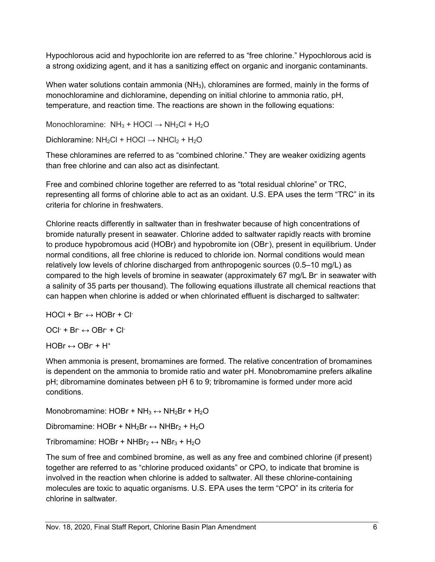Hypochlorous acid and hypochlorite ion are referred to as "free chlorine." Hypochlorous acid is a strong oxidizing agent, and it has a sanitizing effect on organic and inorganic contaminants.

When water solutions contain ammonia ( $NH<sub>3</sub>$ ), chloramines are formed, mainly in the forms of monochloramine and dichloramine, depending on initial chlorine to ammonia ratio, pH, temperature, and reaction time. The reactions are shown in the following equations:

Monochloramine:  $NH_3 + HOCI \rightarrow NH_2Cl + H_2O$ 

Dichloramine:  $NH_2Cl$  + HOCl  $\rightarrow$  NHCl<sub>2</sub> + H<sub>2</sub>O

These chloramines are referred to as "combined chlorine." They are weaker oxidizing agents than free chlorine and can also act as disinfectant.

Free and combined chlorine together are referred to as "total residual chlorine" or TRC, representing all forms of chlorine able to act as an oxidant. U.S. EPA uses the term "TRC" in its criteria for chlorine in freshwaters.

Chlorine reacts differently in saltwater than in freshwater because of high concentrations of bromide naturally present in seawater. Chlorine added to saltwater rapidly reacts with bromine to produce hypobromous acid (HOBr) and hypobromite ion (OBr- ), present in equilibrium. Under normal conditions, all free chlorine is reduced to chloride ion. Normal conditions would mean relatively low levels of chlorine discharged from anthropogenic sources (0.5–10 mg/L) as compared to the high levels of bromine in seawater (approximately 67 mg/L Br in seawater with a salinity of 35 parts per thousand). The following equations illustrate all chemical reactions that can happen when chlorine is added or when chlorinated effluent is discharged to saltwater:

 $HOCI + Br \leftrightarrow HOBr + Cl^{-}$ 

 $OCI<sup>+</sup> + Br \leftrightarrow OBr + Cl<sup>-</sup>$ 

 $HOBr \leftrightarrow OBr + H^+$ 

When ammonia is present, bromamines are formed. The relative concentration of bromamines is dependent on the ammonia to bromide ratio and water pH. Monobromamine prefers alkaline pH; dibromamine dominates between pH 6 to 9; tribromamine is formed under more acid conditions.

Monobromamine: HOBr + NH<sub>3</sub>  $\leftrightarrow$  NH<sub>2</sub>Br + H<sub>2</sub>O

Dibromamine: HOBr + NH<sub>2</sub>Br  $\leftrightarrow$  NHBr<sub>2</sub> + H<sub>2</sub>O

Tribromamine: HOBr + NHBr<sub>2</sub>  $\leftrightarrow$  NBr<sub>3</sub> + H<sub>2</sub>O

The sum of free and combined bromine, as well as any free and combined chlorine (if present) together are referred to as "chlorine produced oxidants" or CPO, to indicate that bromine is involved in the reaction when chlorine is added to saltwater. All these chlorine-containing molecules are toxic to aquatic organisms. U.S. EPA uses the term "CPO" in its criteria for chlorine in saltwater.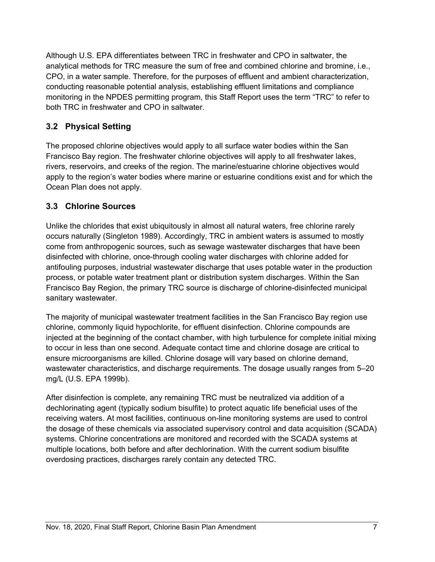Although U.S. EPA differentiates between TRC in freshwater and CPO in saltwater, the analytical methods for TRC measure the sum of free and combined chlorine and bromine, i.e., CPO, in a water sample. Therefore, for the purposes of effluent and ambient characterization, conducting reasonable potential analysis, establishing effluent limitations and compliance monitoring in the NPDES permitting program, this Staff Report uses the term "TRC" to refer to both TRC in freshwater and CPO in saltwater.

### <span id="page-12-0"></span>**3.2 Physical Setting**

The proposed chlorine objectives would apply to all surface water bodies within the San Francisco Bay region. The freshwater chlorine objectives will apply to all freshwater lakes, rivers, reservoirs, and creeks of the region. The marine/estuarine chlorine objectives would apply to the region's water bodies where marine or estuarine conditions exist and for which the Ocean Plan does not apply.

### <span id="page-12-1"></span>**3.3 Chlorine Sources**

Unlike the chlorides that exist ubiquitously in almost all natural waters, free chlorine rarely occurs naturally (Singleton 1989). Accordingly, TRC in ambient waters is assumed to mostly come from anthropogenic sources, such as sewage wastewater discharges that have been disinfected with chlorine, once-through cooling water discharges with chlorine added for antifouling purposes, industrial wastewater discharge that uses potable water in the production process, or potable water treatment plant or distribution system discharges. Within the San Francisco Bay Region, the primary TRC source is discharge of chlorine-disinfected municipal sanitary wastewater.

The majority of municipal wastewater treatment facilities in the San Francisco Bay region use chlorine, commonly liquid hypochlorite, for effluent disinfection. Chlorine compounds are injected at the beginning of the contact chamber, with high turbulence for complete initial mixing to occur in less than one second. Adequate contact time and chlorine dosage are critical to ensure microorganisms are killed. Chlorine dosage will vary based on chlorine demand, wastewater characteristics, and discharge requirements. The dosage usually ranges from 5–20 mg/L (U.S. EPA 1999b).

After disinfection is complete, any remaining TRC must be neutralized via addition of a dechlorinating agent (typically sodium bisulfite) to protect aquatic life beneficial uses of the receiving waters. At most facilities, continuous on-line monitoring systems are used to control the dosage of these chemicals via associated supervisory control and data acquisition (SCADA) systems. Chlorine concentrations are monitored and recorded with the SCADA systems at multiple locations, both before and after dechlorination. With the current sodium bisulfite overdosing practices, discharges rarely contain any detected TRC.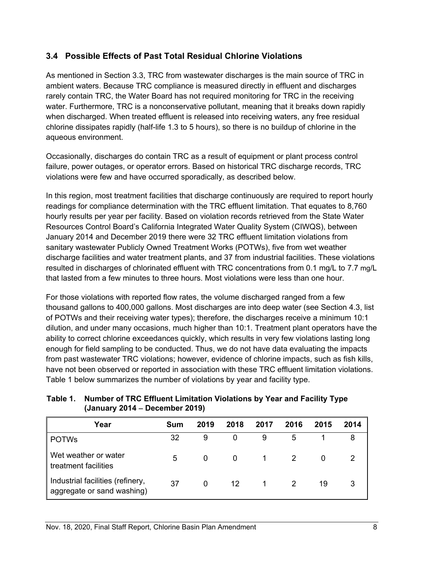### <span id="page-13-0"></span>**3.4 Possible Effects of Past Total Residual Chlorine Violations**

As mentioned in Section 3.3, TRC from wastewater discharges is the main source of TRC in ambient waters. Because TRC compliance is measured directly in effluent and discharges rarely contain TRC, the Water Board has not required monitoring for TRC in the receiving water. Furthermore, TRC is a nonconservative pollutant, meaning that it breaks down rapidly when discharged. When treated effluent is released into receiving waters, any free residual chlorine dissipates rapidly (half-life 1.3 to 5 hours), so there is no buildup of chlorine in the aqueous environment.

Occasionally, discharges do contain TRC as a result of equipment or plant process control failure, power outages, or operator errors. Based on historical TRC discharge records, TRC violations were few and have occurred sporadically, as described below.

In this region, most treatment facilities that discharge continuously are required to report hourly readings for compliance determination with the TRC effluent limitation. That equates to 8,760 hourly results per year per facility. Based on violation records retrieved from the State Water Resources Control Board's California Integrated Water Quality System (CIWQS), between January 2014 and December 2019 there were 32 TRC effluent limitation violations from sanitary wastewater Publicly Owned Treatment Works (POTWs), five from wet weather discharge facilities and water treatment plants, and 37 from industrial facilities. These violations resulted in discharges of chlorinated effluent with TRC concentrations from 0.1 mg/L to 7.7 mg/L that lasted from a few minutes to three hours. Most violations were less than one hour.

For those violations with reported flow rates, the volume discharged ranged from a few thousand gallons to 400,000 gallons. Most discharges are into deep water (see Section 4.3, list of POTWs and their receiving water types); therefore, the discharges receive a minimum 10:1 dilution, and under many occasions, much higher than 10:1. Treatment plant operators have the ability to correct chlorine exceedances quickly, which results in very few violations lasting long enough for field sampling to be conducted. Thus, we do not have data evaluating the impacts from past wastewater TRC violations; however, evidence of chlorine impacts, such as fish kills, have not been observed or reported in association with these TRC effluent limitation violations. Table 1 below summarizes the number of violations by year and facility type.

<span id="page-13-1"></span>**Table 1. Number of TRC Effluent Limitation Violations by Year and Facility Type (January 2014** − **December 2019)**

| Year                                                           | Sum | 2019 | 2018 | $\parallel$ 2017 $\parallel$ | 2016 | 2015 | 2014 |
|----------------------------------------------------------------|-----|------|------|------------------------------|------|------|------|
| <b>POTWs</b>                                                   |     |      |      |                              |      |      |      |
| Wet weather or water<br>treatment facilities                   |     |      |      |                              |      |      |      |
| Industrial facilities (refinery,<br>aggregate or sand washing) | 37  |      | 12   |                              |      | 19   |      |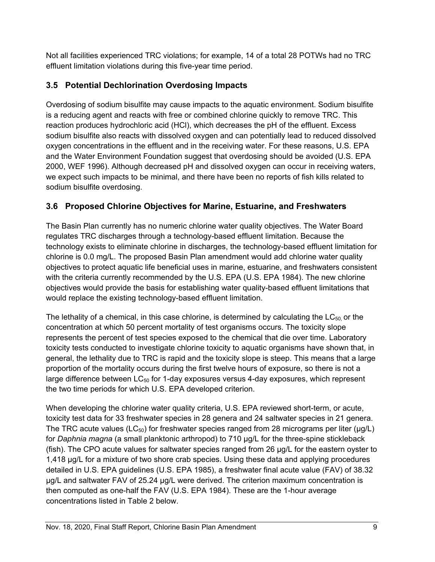Not all facilities experienced TRC violations; for example, 14 of a total 28 POTWs had no TRC effluent limitation violations during this five-year time period.

# <span id="page-14-0"></span>**3.5 Potential Dechlorination Overdosing Impacts**

Overdosing of sodium bisulfite may cause impacts to the aquatic environment. Sodium bisulfite is a reducing agent and reacts with free or combined chlorine quickly to remove TRC. This reaction produces hydrochloric acid (HCl), which decreases the pH of the effluent. Excess sodium bisulfite also reacts with dissolved oxygen and can potentially lead to reduced dissolved oxygen concentrations in the effluent and in the receiving water. For these reasons, U.S. EPA and the Water Environment Foundation suggest that overdosing should be avoided (U.S. EPA 2000, WEF 1996). Although decreased pH and dissolved oxygen can occur in receiving waters, we expect such impacts to be minimal, and there have been no reports of fish kills related to sodium bisulfite overdosing.

# <span id="page-14-1"></span>**3.6 Proposed Chlorine Objectives for Marine, Estuarine, and Freshwaters**

The Basin Plan currently has no numeric chlorine water quality objectives. The Water Board regulates TRC discharges through a technology-based effluent limitation. Because the technology exists to eliminate chlorine in discharges, the technology-based effluent limitation for chlorine is 0.0 mg/L. The proposed Basin Plan amendment would add chlorine water quality objectives to protect aquatic life beneficial uses in marine, estuarine, and freshwaters consistent with the criteria currently recommended by the U.S. EPA (U.S. EPA 1984). The new chlorine objectives would provide the basis for establishing water quality-based effluent limitations that would replace the existing technology-based effluent limitation.

The lethality of a chemical, in this case chlorine, is determined by calculating the  $LC_{50}$  or the concentration at which 50 percent mortality of test organisms occurs. The toxicity slope represents the percent of test species exposed to the chemical that die over time. Laboratory toxicity tests conducted to investigate chlorine toxicity to aquatic organisms have shown that, in general, the lethality due to TRC is rapid and the toxicity slope is steep. This means that a large proportion of the mortality occurs during the first twelve hours of exposure, so there is not a large difference between  $LC_{50}$  for 1-day exposures versus 4-day exposures, which represent the two time periods for which U.S. EPA developed criterion.

When developing the chlorine water quality criteria, U.S. EPA reviewed short-term, or acute, toxicity test data for 33 freshwater species in 28 genera and 24 saltwater species in 21 genera. The TRC acute values (LC<sub>50</sub>) for freshwater species ranged from 28 micrograms per liter ( $\mu$ g/L) for *Daphnia magna* (a small planktonic arthropod) to 710 µg/L for the three-spine stickleback (fish). The CPO acute values for saltwater species ranged from 26 µg/L for the eastern oyster to 1,418 µg/L for a mixture of two shore crab species. Using these data and applying procedures detailed in U.S. EPA guidelines (U.S. EPA 1985), a freshwater final acute value (FAV) of 38.32 µg/L and saltwater FAV of 25.24 µg/L were derived. The criterion maximum concentration is then computed as one-half the FAV (U.S. EPA 1984). These are the 1-hour average concentrations listed in Table 2 below.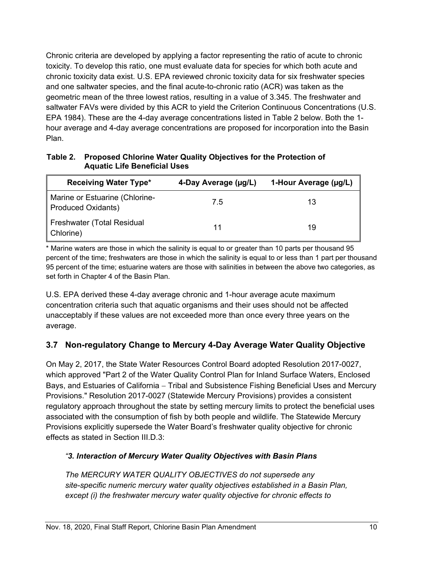Chronic criteria are developed by applying a factor representing the ratio of acute to chronic toxicity. To develop this ratio, one must evaluate data for species for which both acute and chronic toxicity data exist. U.S. EPA reviewed chronic toxicity data for six freshwater species and one saltwater species, and the final acute-to-chronic ratio (ACR) was taken as the geometric mean of the three lowest ratios, resulting in a value of 3.345. The freshwater and saltwater FAVs were divided by this ACR to yield the Criterion Continuous Concentrations (U.S. EPA 1984). These are the 4-day average concentrations listed in Table 2 below. Both the 1 hour average and 4-day average concentrations are proposed for incorporation into the Basin Plan.

<span id="page-15-1"></span>**Table 2. Proposed Chlorine Water Quality Objectives for the Protection of Aquatic Life Beneficial Uses**

| <b>Receiving Water Type*</b>                                | 4-Day Average (µg/L) | 1-Hour Average (µg/L) |
|-------------------------------------------------------------|----------------------|-----------------------|
| Marine or Estuarine (Chlorine-<br><b>Produced Oxidants)</b> | 75                   |                       |
| <b>Freshwater (Total Residual</b><br>Chlorine)              |                      |                       |

\* Marine waters are those in which the salinity is equal to or greater than 10 parts per thousand 95 percent of the time; freshwaters are those in which the salinity is equal to or less than 1 part per thousand 95 percent of the time; estuarine waters are those with salinities in between the above two categories, as set forth in Chapter 4 of the Basin Plan.

U.S. EPA derived these 4-day average chronic and 1-hour average acute maximum concentration criteria such that aquatic organisms and their uses should not be affected unacceptably if these values are not exceeded more than once every three years on the average.

# <span id="page-15-0"></span>**3.7 Non-regulatory Change to Mercury 4-Day Average Water Quality Objective**

On May 2, 2017, the State Water Resources Control Board adopted Resolution 2017-0027, which approved "Part 2 of the Water Quality Control Plan for Inland Surface Waters, Enclosed Bays, and Estuaries of California – Tribal and Subsistence Fishing Beneficial Uses and Mercury Provisions." Resolution 2017-0027 (Statewide Mercury Provisions) provides a consistent regulatory approach throughout the state by setting mercury limits to protect the beneficial uses associated with the consumption of fish by both people and wildlife. The Statewide Mercury Provisions explicitly supersede the Water Board's freshwater quality objective for chronic effects as stated in Section III.D.3:

### *"3. Interaction of Mercury Water Quality Objectives with Basin Plans*

*The MERCURY WATER QUALITY OBJECTIVES do not supersede any site-specific numeric mercury water quality objectives established in a Basin Plan, except (i) the freshwater mercury water quality objective for chronic effects to*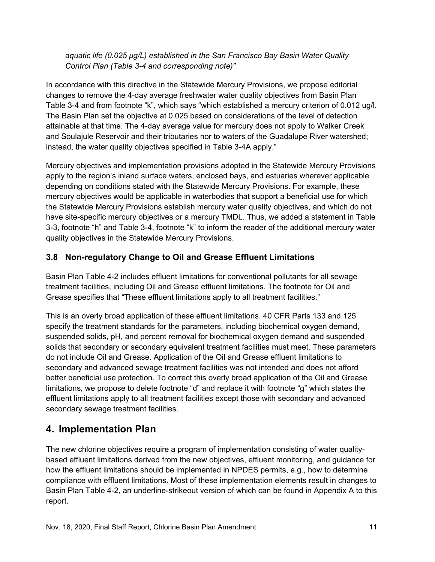*aquatic life (0.025 μg/L) established in the San Francisco Bay Basin Water Quality Control Plan (Table 3-4 and corresponding note)"*

In accordance with this directive in the Statewide Mercury Provisions, we propose editorial changes to remove the 4-day average freshwater water quality objectives from Basin Plan Table 3-4 and from footnote "k", which says "which established a mercury criterion of 0.012 ug/l. The Basin Plan set the objective at 0.025 based on considerations of the level of detection attainable at that time. The 4-day average value for mercury does not apply to Walker Creek and Soulajule Reservoir and their tributaries nor to waters of the Guadalupe River watershed; instead, the water quality objectives specified in Table 3-4A apply."

Mercury objectives and implementation provisions adopted in the Statewide Mercury Provisions apply to the region's inland surface waters, enclosed bays, and estuaries wherever applicable depending on conditions stated with the Statewide Mercury Provisions. For example, these mercury objectives would be applicable in waterbodies that support a beneficial use for which the Statewide Mercury Provisions establish mercury water quality objectives, and which do not have site-specific mercury objectives or a mercury TMDL. Thus, we added a statement in Table 3-3, footnote "h" and Table 3-4, footnote "k" to inform the reader of the additional mercury water quality objectives in the Statewide Mercury Provisions.

# <span id="page-16-0"></span>**3.8 Non-regulatory Change to Oil and Grease Effluent Limitations**

Basin Plan Table 4-2 includes effluent limitations for conventional pollutants for all sewage treatment facilities, including Oil and Grease effluent limitations. The footnote for Oil and Grease specifies that "These effluent limitations apply to all treatment facilities."

This is an overly broad application of these effluent limitations. 40 CFR Parts 133 and 125 specify the treatment standards for the parameters, including biochemical oxygen demand, suspended solids, pH, and percent removal for biochemical oxygen demand and suspended solids that secondary or secondary equivalent treatment facilities must meet. These parameters do not include Oil and Grease. Application of the Oil and Grease effluent limitations to secondary and advanced sewage treatment facilities was not intended and does not afford better beneficial use protection. To correct this overly broad application of the Oil and Grease limitations, we propose to delete footnote "d" and replace it with footnote "g" which states the effluent limitations apply to all treatment facilities except those with secondary and advanced secondary sewage treatment facilities.

# <span id="page-16-1"></span>**4. Implementation Plan**

The new chlorine objectives require a program of implementation consisting of water qualitybased effluent limitations derived from the new objectives, effluent monitoring, and guidance for how the effluent limitations should be implemented in NPDES permits, e.g., how to determine compliance with effluent limitations. Most of these implementation elements result in changes to Basin Plan Table 4-2, an underline-strikeout version of which can be found in Appendix A to this report.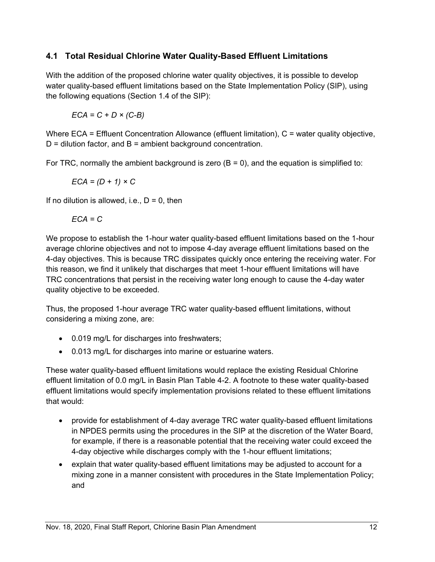### <span id="page-17-0"></span>**4.1 Total Residual Chlorine Water Quality-Based Effluent Limitations**

With the addition of the proposed chlorine water quality objectives, it is possible to develop water quality-based effluent limitations based on the State Implementation Policy (SIP), using the following equations (Section 1.4 of the SIP):

*ECA = C + D × (C-B)*

Where ECA = Effluent Concentration Allowance (effluent limitation), C = water quality objective,  $D =$  dilution factor, and  $B =$  ambient background concentration.

For TRC, normally the ambient background is zero  $(B = 0)$ , and the equation is simplified to:

$$
ECA = (D + 1) \times C
$$

If no dilution is allowed, i.e.,  $D = 0$ , then

$$
ECA = C
$$

We propose to establish the 1-hour water quality-based effluent limitations based on the 1-hour average chlorine objectives and not to impose 4-day average effluent limitations based on the 4-day objectives. This is because TRC dissipates quickly once entering the receiving water. For this reason, we find it unlikely that discharges that meet 1-hour effluent limitations will have TRC concentrations that persist in the receiving water long enough to cause the 4-day water quality objective to be exceeded.

Thus, the proposed 1-hour average TRC water quality-based effluent limitations, without considering a mixing zone, are:

- 0.019 mg/L for discharges into freshwaters;
- 0.013 mg/L for discharges into marine or estuarine waters.

These water quality-based effluent limitations would replace the existing Residual Chlorine effluent limitation of 0.0 mg/L in Basin Plan Table 4-2. A footnote to these water quality-based effluent limitations would specify implementation provisions related to these effluent limitations that would:

- provide for establishment of 4-day average TRC water quality-based effluent limitations in NPDES permits using the procedures in the SIP at the discretion of the Water Board, for example, if there is a reasonable potential that the receiving water could exceed the 4-day objective while discharges comply with the 1-hour effluent limitations;
- explain that water quality-based effluent limitations may be adjusted to account for a mixing zone in a manner consistent with procedures in the State Implementation Policy; and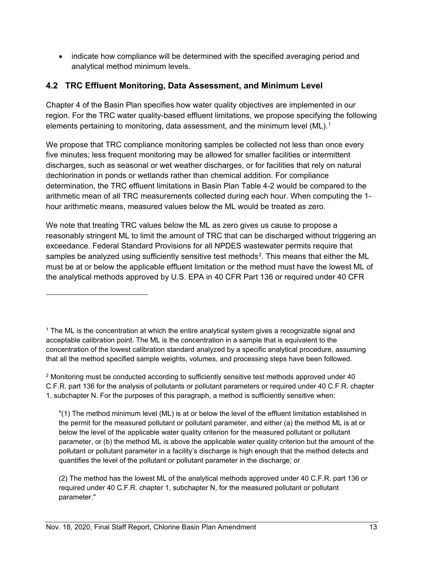• indicate how compliance will be determined with the specified averaging period and analytical method minimum levels.

### <span id="page-18-0"></span>**4.2 TRC Effluent Monitoring, Data Assessment, and Minimum Level**

Chapter 4 of the Basin Plan specifies how water quality objectives are implemented in our region. For the TRC water quality-based effluent limitations, we propose specifying the following elements pertaining to monitoring, data assessment, and the minimum level (ML).<sup>[1](#page-18-1)</sup>

We propose that TRC compliance monitoring samples be collected not less than once every five minutes; less frequent monitoring may be allowed for smaller facilities or intermittent discharges, such as seasonal or wet weather discharges, or for facilities that rely on natural dechlorination in ponds or wetlands rather than chemical addition. For compliance determination, the TRC effluent limitations in Basin Plan Table 4-2 would be compared to the arithmetic mean of all TRC measurements collected during each hour. When computing the 1 hour arithmetic means, measured values below the ML would be treated as zero.

We note that treating TRC values below the ML as zero gives us cause to propose a reasonably stringent ML to limit the amount of TRC that can be discharged without triggering an exceedance. Federal Standard Provisions for all NPDES wastewater permits require that samples be analyzed using sufficiently sensitive test methods<sup>[2](#page-18-2)</sup>. This means that either the ML must be at or below the applicable effluent limitation or the method must have the lowest ML of the analytical methods approved by U.S. EPA in 40 CFR Part 136 or required under 40 CFR

<span id="page-18-1"></span> $1$  The ML is the concentration at which the entire analytical system gives a recognizable signal and acceptable calibration point. The ML is the concentration in a sample that is equivalent to the concentration of the lowest calibration standard analyzed by a specific analytical procedure, assuming that all the method specified sample weights, volumes, and processing steps have been followed.

<span id="page-18-2"></span> $2$  Monitoring must be conducted according to sufficiently sensitive test methods approved under 40 C.F.R. part 136 for the analysis of pollutants or pollutant parameters or required under 40 C.F.R. chapter 1, subchapter N. For the purposes of this paragraph, a method is sufficiently sensitive when:

<sup>&</sup>quot;(1) The method minimum level (ML) is at or below the level of the effluent limitation established in the permit for the measured pollutant or pollutant parameter, and either (a) the method ML is at or below the level of the applicable water quality criterion for the measured pollutant or pollutant parameter, or (b) the method ML is above the applicable water quality criterion but the amount of the pollutant or pollutant parameter in a facility's discharge is high enough that the method detects and quantifies the level of the pollutant or pollutant parameter in the discharge; or

<sup>(2)</sup> The method has the lowest ML of the analytical methods approved under 40 C.F.R. part 136 or required under 40 C.F.R. chapter 1, subchapter N, for the measured pollutant or pollutant parameter."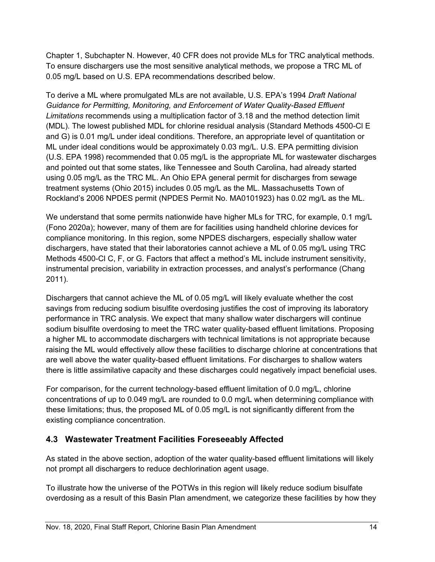Chapter 1, Subchapter N. However, 40 CFR does not provide MLs for TRC analytical methods. To ensure dischargers use the most sensitive analytical methods, we propose a TRC ML of 0.05 mg/L based on U.S. EPA recommendations described below.

To derive a ML where promulgated MLs are not available, U.S. EPA's 1994 *Draft National Guidance for Permitting, Monitoring, and Enforcement of Water Quality-Based Effluent Limitations* recommends using a multiplication factor of 3.18 and the method detection limit (MDL). The lowest published MDL for chlorine residual analysis (Standard Methods 4500-Cl E and G) is 0.01 mg/L under ideal conditions. Therefore, an appropriate level of quantitation or ML under ideal conditions would be approximately 0.03 mg/L. U.S. EPA permitting division (U.S. EPA 1998) recommended that 0.05 mg/L is the appropriate ML for wastewater discharges and pointed out that some states, like Tennessee and South Carolina, had already started using 0.05 mg/L as the TRC ML. An Ohio EPA general permit for discharges from sewage treatment systems (Ohio 2015) includes 0.05 mg/L as the ML. Massachusetts Town of Rockland's 2006 NPDES permit (NPDES Permit No. MA0101923) has 0.02 mg/L as the ML.

We understand that some permits nationwide have higher MLs for TRC, for example, 0.1 mg/L (Fono 2020a); however, many of them are for facilities using handheld chlorine devices for compliance monitoring. In this region, some NPDES dischargers, especially shallow water dischargers, have stated that their laboratories cannot achieve a ML of 0.05 mg/L using TRC Methods 4500-Cl C, F, or G. Factors that affect a method's ML include instrument sensitivity, instrumental precision, variability in extraction processes, and analyst's performance (Chang 2011).

Dischargers that cannot achieve the ML of 0.05 mg/L will likely evaluate whether the cost savings from reducing sodium bisulfite overdosing justifies the cost of improving its laboratory performance in TRC analysis. We expect that many shallow water dischargers will continue sodium bisulfite overdosing to meet the TRC water quality-based effluent limitations. Proposing a higher ML to accommodate dischargers with technical limitations is not appropriate because raising the ML would effectively allow these facilities to discharge chlorine at concentrations that are well above the water quality-based effluent limitations. For discharges to shallow waters there is little assimilative capacity and these discharges could negatively impact beneficial uses.

For comparison, for the current technology-based effluent limitation of 0.0 mg/L, chlorine concentrations of up to 0.049 mg/L are rounded to 0.0 mg/L when determining compliance with these limitations; thus, the proposed ML of 0.05 mg/L is not significantly different from the existing compliance concentration.

## <span id="page-19-0"></span>**4.3 Wastewater Treatment Facilities Foreseeably Affected**

As stated in the above section, adoption of the water quality-based effluent limitations will likely not prompt all dischargers to reduce dechlorination agent usage.

To illustrate how the universe of the POTWs in this region will likely reduce sodium bisulfate overdosing as a result of this Basin Plan amendment, we categorize these facilities by how they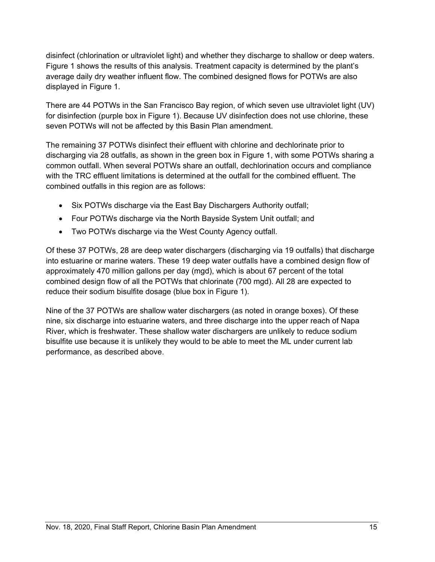disinfect (chlorination or ultraviolet light) and whether they discharge to shallow or deep waters. Figure 1 shows the results of this analysis. Treatment capacity is determined by the plant's average daily dry weather influent flow. The combined designed flows for POTWs are also displayed in Figure 1.

There are 44 POTWs in the San Francisco Bay region, of which seven use ultraviolet light (UV) for disinfection (purple box in Figure 1). Because UV disinfection does not use chlorine, these seven POTWs will not be affected by this Basin Plan amendment.

The remaining 37 POTWs disinfect their effluent with chlorine and dechlorinate prior to discharging via 28 outfalls, as shown in the green box in Figure 1, with some POTWs sharing a common outfall. When several POTWs share an outfall, dechlorination occurs and compliance with the TRC effluent limitations is determined at the outfall for the combined effluent. The combined outfalls in this region are as follows:

- Six POTWs discharge via the East Bay Dischargers Authority outfall;
- Four POTWs discharge via the North Bayside System Unit outfall; and
- Two POTWs discharge via the West County Agency outfall.

Of these 37 POTWs, 28 are deep water dischargers (discharging via 19 outfalls) that discharge into estuarine or marine waters. These 19 deep water outfalls have a combined design flow of approximately 470 million gallons per day (mgd), which is about 67 percent of the total combined design flow of all the POTWs that chlorinate (700 mgd). All 28 are expected to reduce their sodium bisulfite dosage (blue box in Figure 1).

Nine of the 37 POTWs are shallow water dischargers (as noted in orange boxes). Of these nine, six discharge into estuarine waters, and three discharge into the upper reach of Napa River, which is freshwater. These shallow water dischargers are unlikely to reduce sodium bisulfite use because it is unlikely they would to be able to meet the ML under current lab performance, as described above.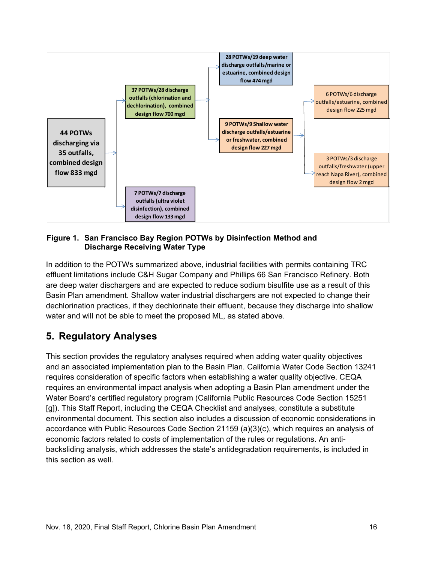

#### **Figure 1. San Francisco Bay Region POTWs by Disinfection Method and Discharge Receiving Water Type**

In addition to the POTWs summarized above, industrial facilities with permits containing TRC effluent limitations include C&H Sugar Company and Phillips 66 San Francisco Refinery. Both are deep water dischargers and are expected to reduce sodium bisulfite use as a result of this Basin Plan amendment. Shallow water industrial dischargers are not expected to change their dechlorination practices, if they dechlorinate their effluent, because they discharge into shallow water and will not be able to meet the proposed ML, as stated above.

# <span id="page-21-0"></span>**5. Regulatory Analyses**

This section provides the regulatory analyses required when adding water quality objectives and an associated implementation plan to the Basin Plan. California Water Code Section 13241 requires consideration of specific factors when establishing a water quality objective. CEQA requires an environmental impact analysis when adopting a Basin Plan amendment under the Water Board's certified regulatory program (California Public Resources Code Section 15251 [g]). This Staff Report, including the CEQA Checklist and analyses, constitute a substitute environmental document. This section also includes a discussion of economic considerations in accordance with Public Resources Code Section 21159 (a)(3)(c), which requires an analysis of economic factors related to costs of implementation of the rules or regulations. An antibacksliding analysis, which addresses the state's antidegradation requirements, is included in this section as well.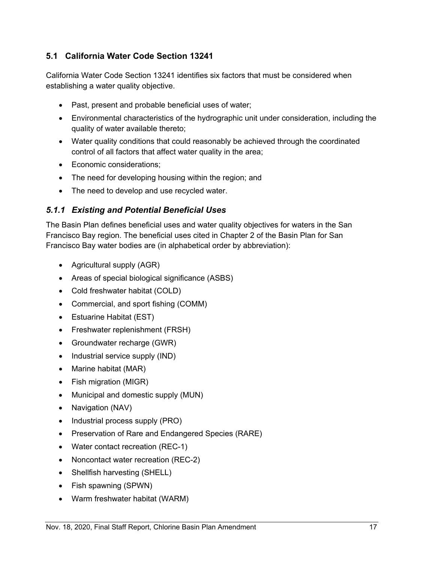### <span id="page-22-0"></span>**5.1 California Water Code Section 13241**

California Water Code Section 13241 identifies six factors that must be considered when establishing a water quality objective.

- Past, present and probable beneficial uses of water;
- Environmental characteristics of the hydrographic unit under consideration, including the quality of water available thereto;
- Water quality conditions that could reasonably be achieved through the coordinated control of all factors that affect water quality in the area;
- Economic considerations;
- The need for developing housing within the region; and
- The need to develop and use recycled water.

### <span id="page-22-1"></span>*5.1.1 Existing and Potential Beneficial Uses*

The Basin Plan defines beneficial uses and water quality objectives for waters in the San Francisco Bay region. The beneficial uses cited in Chapter 2 of the Basin Plan for San Francisco Bay water bodies are (in alphabetical order by abbreviation):

- Agricultural supply (AGR)
- Areas of special biological significance (ASBS)
- Cold freshwater habitat (COLD)
- Commercial, and sport fishing (COMM)
- Estuarine Habitat (EST)
- Freshwater replenishment (FRSH)
- Groundwater recharge (GWR)
- Industrial service supply (IND)
- Marine habitat (MAR)
- Fish migration (MIGR)
- Municipal and domestic supply (MUN)
- Navigation (NAV)
- Industrial process supply (PRO)
- Preservation of Rare and Endangered Species (RARE)
- Water contact recreation (REC-1)
- Noncontact water recreation (REC-2)
- Shellfish harvesting (SHELL)
- Fish spawning (SPWN)
- Warm freshwater habitat (WARM)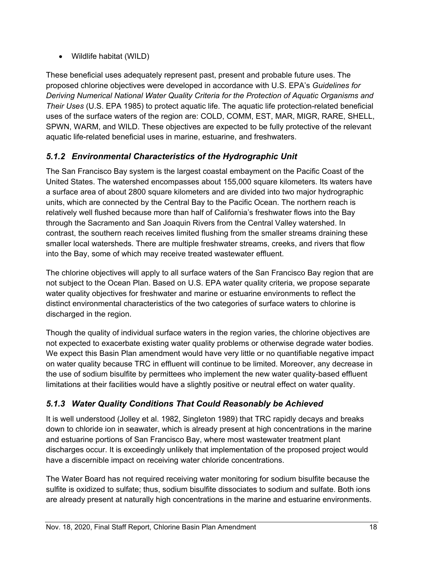• Wildlife habitat (WILD)

These beneficial uses adequately represent past, present and probable future uses. The proposed chlorine objectives were developed in accordance with U.S. EPA's *Guidelines for Deriving Numerical National Water Quality Criteria for the Protection of Aquatic Organisms and Their Uses* (U.S. EPA 1985) to protect aquatic life. The aquatic life protection-related beneficial uses of the surface waters of the region are: COLD, COMM, EST, MAR, MIGR, RARE, SHELL, SPWN, WARM, and WILD. These objectives are expected to be fully protective of the relevant aquatic life-related beneficial uses in marine, estuarine, and freshwaters.

## <span id="page-23-0"></span>*5.1.2 Environmental Characteristics of the Hydrographic Unit*

The San Francisco Bay system is the largest coastal embayment on the Pacific Coast of the United States. The watershed encompasses about 155,000 square kilometers. Its waters have a surface area of about 2800 square kilometers and are divided into two major hydrographic units, which are connected by the Central Bay to the Pacific Ocean. The northern reach is relatively well flushed because more than half of California's freshwater flows into the Bay through the Sacramento and San Joaquin Rivers from the Central Valley watershed. In contrast, the southern reach receives limited flushing from the smaller streams draining these smaller local watersheds. There are multiple freshwater streams, creeks, and rivers that flow into the Bay, some of which may receive treated wastewater effluent.

The chlorine objectives will apply to all surface waters of the San Francisco Bay region that are not subject to the Ocean Plan. Based on U.S. EPA water quality criteria, we propose separate water quality objectives for freshwater and marine or estuarine environments to reflect the distinct environmental characteristics of the two categories of surface waters to chlorine is discharged in the region.

Though the quality of individual surface waters in the region varies, the chlorine objectives are not expected to exacerbate existing water quality problems or otherwise degrade water bodies. We expect this Basin Plan amendment would have very little or no quantifiable negative impact on water quality because TRC in effluent will continue to be limited. Moreover, any decrease in the use of sodium bisulfite by permittees who implement the new water quality-based effluent limitations at their facilities would have a slightly positive or neutral effect on water quality.

# <span id="page-23-1"></span>*5.1.3 Water Quality Conditions That Could Reasonably be Achieved*

It is well understood (Jolley et al. 1982, Singleton 1989) that TRC rapidly decays and breaks down to chloride ion in seawater, which is already present at high concentrations in the marine and estuarine portions of San Francisco Bay, where most wastewater treatment plant discharges occur. It is exceedingly unlikely that implementation of the proposed project would have a discernible impact on receiving water chloride concentrations.

The Water Board has not required receiving water monitoring for sodium bisulfite because the sulfite is oxidized to sulfate; thus, sodium bisulfite dissociates to sodium and sulfate. Both ions are already present at naturally high concentrations in the marine and estuarine environments.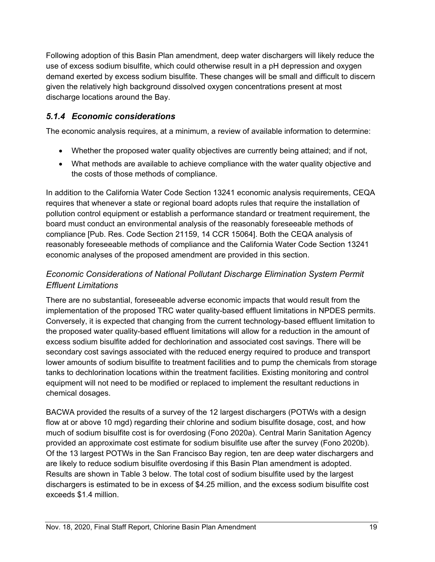Following adoption of this Basin Plan amendment, deep water dischargers will likely reduce the use of excess sodium bisulfite, which could otherwise result in a pH depression and oxygen demand exerted by excess sodium bisulfite. These changes will be small and difficult to discern given the relatively high background dissolved oxygen concentrations present at most discharge locations around the Bay.

## <span id="page-24-0"></span>*5.1.4 Economic considerations*

The economic analysis requires, at a minimum, a review of available information to determine:

- Whether the proposed water quality objectives are currently being attained; and if not,
- What methods are available to achieve compliance with the water quality objective and the costs of those methods of compliance.

In addition to the California Water Code Section 13241 economic analysis requirements, CEQA requires that whenever a state or regional board adopts rules that require the installation of pollution control equipment or establish a performance standard or treatment requirement, the board must conduct an environmental analysis of the reasonably foreseeable methods of compliance [Pub. Res. Code Section 21159, 14 CCR 15064]. Both the CEQA analysis of reasonably foreseeable methods of compliance and the California Water Code Section 13241 economic analyses of the proposed amendment are provided in this section.

# *Economic Considerations of National Pollutant Discharge Elimination System Permit Effluent Limitations*

There are no substantial, foreseeable adverse economic impacts that would result from the implementation of the proposed TRC water quality-based effluent limitations in NPDES permits. Conversely, it is expected that changing from the current technology-based effluent limitation to the proposed water quality-based effluent limitations will allow for a reduction in the amount of excess sodium bisulfite added for dechlorination and associated cost savings. There will be secondary cost savings associated with the reduced energy required to produce and transport lower amounts of sodium bisulfite to treatment facilities and to pump the chemicals from storage tanks to dechlorination locations within the treatment facilities. Existing monitoring and control equipment will not need to be modified or replaced to implement the resultant reductions in chemical dosages.

BACWA provided the results of a survey of the 12 largest dischargers (POTWs with a design flow at or above 10 mgd) regarding their chlorine and sodium bisulfite dosage, cost, and how much of sodium bisulfite cost is for overdosing (Fono 2020a). Central Marin Sanitation Agency provided an approximate cost estimate for sodium bisulfite use after the survey (Fono 2020b). Of the 13 largest POTWs in the San Francisco Bay region, ten are deep water dischargers and are likely to reduce sodium bisulfite overdosing if this Basin Plan amendment is adopted. Results are shown in Table 3 below. The total cost of sodium bisulfite used by the largest dischargers is estimated to be in excess of \$4.25 million, and the excess sodium bisulfite cost exceeds \$1.4 million.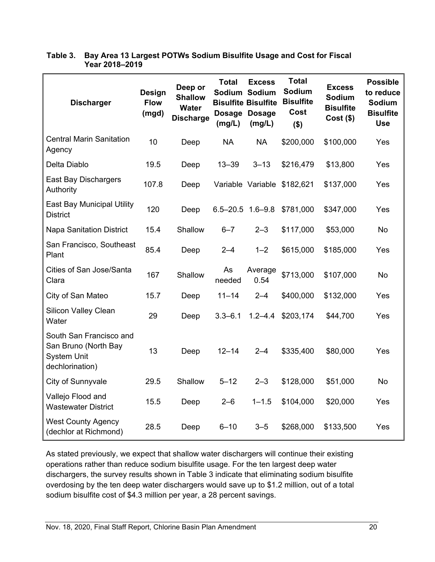| <b>Discharger</b>                                                                        | <b>Design</b><br><b>Flow</b><br>(mgd) | Deep or<br><b>Shallow</b><br>Water<br><b>Discharge</b> | <b>Total</b><br>(mg/L)  | <b>Excess</b><br>Sodium Sodium<br><b>Bisulfite Bisulfite</b><br>Dosage Dosage<br>(mg/L) | <b>Total</b><br><b>Sodium</b><br><b>Bisulfite</b><br>Cost<br>$($ \$) | <b>Excess</b><br>Sodium<br><b>Bisulfite</b><br>$Cost($ \$) | <b>Possible</b><br>to reduce<br><b>Sodium</b><br><b>Bisulfite</b><br><b>Use</b> |
|------------------------------------------------------------------------------------------|---------------------------------------|--------------------------------------------------------|-------------------------|-----------------------------------------------------------------------------------------|----------------------------------------------------------------------|------------------------------------------------------------|---------------------------------------------------------------------------------|
| <b>Central Marin Sanitation</b><br>Agency                                                | 10                                    | Deep                                                   | <b>NA</b>               | <b>NA</b>                                                                               | \$200,000                                                            | \$100,000                                                  | Yes                                                                             |
| Delta Diablo                                                                             | 19.5                                  | Deep                                                   | $13 - 39$               | $3 - 13$                                                                                | \$216,479                                                            | \$13,800                                                   | Yes                                                                             |
| <b>East Bay Dischargers</b><br>Authority                                                 | 107.8                                 | Deep                                                   |                         |                                                                                         | Variable Variable \$182,621                                          | \$137,000                                                  | Yes                                                                             |
| <b>East Bay Municipal Utility</b><br><b>District</b>                                     | 120                                   | Deep                                                   | $6.5 - 20.5$ 1.6 $-9.8$ |                                                                                         | \$781,000                                                            | \$347,000                                                  | Yes                                                                             |
| <b>Napa Sanitation District</b>                                                          | 15.4                                  | Shallow                                                | $6 - 7$                 | $2 - 3$                                                                                 | \$117,000                                                            | \$53,000                                                   | No                                                                              |
| San Francisco, Southeast<br>Plant                                                        | 85.4                                  | Deep                                                   | $2 - 4$                 | $1 - 2$                                                                                 | \$615,000                                                            | \$185,000                                                  | Yes                                                                             |
| Cities of San Jose/Santa<br>Clara                                                        | 167                                   | Shallow                                                | As<br>needed            | Average<br>0.54                                                                         | \$713,000                                                            | \$107,000                                                  | No                                                                              |
| City of San Mateo                                                                        | 15.7                                  | Deep                                                   | $11 - 14$               | $2 - 4$                                                                                 | \$400,000                                                            | \$132,000                                                  | Yes                                                                             |
| <b>Silicon Valley Clean</b><br>Water                                                     | 29                                    | Deep                                                   | $3.3 - 6.1$             | $1.2 - 4.4$                                                                             | \$203,174                                                            | \$44,700                                                   | Yes                                                                             |
| South San Francisco and<br>San Bruno (North Bay<br><b>System Unit</b><br>dechlorination) | 13                                    | Deep                                                   | $12 - 14$               | $2 - 4$                                                                                 | \$335,400                                                            | \$80,000                                                   | Yes                                                                             |
| City of Sunnyvale                                                                        | 29.5                                  | Shallow                                                | $5 - 12$                | $2 - 3$                                                                                 | \$128,000                                                            | \$51,000                                                   | No                                                                              |
| Vallejo Flood and<br><b>Wastewater District</b>                                          | 15.5                                  | Deep                                                   | $2 - 6$                 | $1 - 1.5$                                                                               | \$104,000                                                            | \$20,000                                                   | Yes                                                                             |
| <b>West County Agency</b><br>(dechlor at Richmond)                                       | 28.5                                  | Deep                                                   | $6 - 10$                | $3 - 5$                                                                                 | \$268,000                                                            | \$133,500                                                  | Yes                                                                             |

### <span id="page-25-0"></span>**Table 3. Bay Area 13 Largest POTWs Sodium Bisulfite Usage and Cost for Fiscal Year 2018–2019**

As stated previously, we expect that shallow water dischargers will continue their existing operations rather than reduce sodium bisulfite usage. For the ten largest deep water dischargers, the survey results shown in Table 3 indicate that eliminating sodium bisulfite overdosing by the ten deep water dischargers would save up to \$1.2 million, out of a total sodium bisulfite cost of \$4.3 million per year, a 28 percent savings.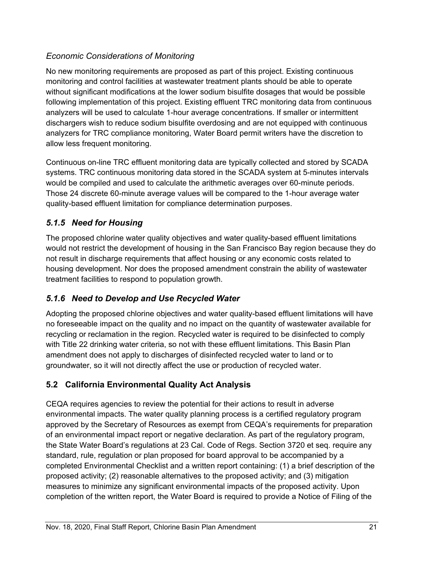### *Economic Considerations of Monitoring*

No new monitoring requirements are proposed as part of this project. Existing continuous monitoring and control facilities at wastewater treatment plants should be able to operate without significant modifications at the lower sodium bisulfite dosages that would be possible following implementation of this project. Existing effluent TRC monitoring data from continuous analyzers will be used to calculate 1-hour average concentrations. If smaller or intermittent dischargers wish to reduce sodium bisulfite overdosing and are not equipped with continuous analyzers for TRC compliance monitoring, Water Board permit writers have the discretion to allow less frequent monitoring.

Continuous on-line TRC effluent monitoring data are typically collected and stored by SCADA systems. TRC continuous monitoring data stored in the SCADA system at 5-minutes intervals would be compiled and used to calculate the arithmetic averages over 60-minute periods. Those 24 discrete 60-minute average values will be compared to the 1-hour average water quality-based effluent limitation for compliance determination purposes.

## <span id="page-26-0"></span>*5.1.5 Need for Housing*

The proposed chlorine water quality objectives and water quality-based effluent limitations would not restrict the development of housing in the San Francisco Bay region because they do not result in discharge requirements that affect housing or any economic costs related to housing development. Nor does the proposed amendment constrain the ability of wastewater treatment facilities to respond to population growth.

# <span id="page-26-1"></span>*5.1.6 Need to Develop and Use Recycled Water*

Adopting the proposed chlorine objectives and water quality-based effluent limitations will have no foreseeable impact on the quality and no impact on the quantity of wastewater available for recycling or reclamation in the region. Recycled water is required to be disinfected to comply with Title 22 drinking water criteria, so not with these effluent limitations. This Basin Plan amendment does not apply to discharges of disinfected recycled water to land or to groundwater, so it will not directly affect the use or production of recycled water.

# <span id="page-26-2"></span>**5.2 California Environmental Quality Act Analysis**

CEQA requires agencies to review the potential for their actions to result in adverse environmental impacts. The water quality planning process is a certified regulatory program approved by the Secretary of Resources as exempt from CEQA's requirements for preparation of an environmental impact report or negative declaration. As part of the regulatory program, the State Water Board's regulations at 23 Cal. Code of Regs. Section 3720 et seq. require any standard, rule, regulation or plan proposed for board approval to be accompanied by a completed Environmental Checklist and a written report containing: (1) a brief description of the proposed activity; (2) reasonable alternatives to the proposed activity; and (3) mitigation measures to minimize any significant environmental impacts of the proposed activity. Upon completion of the written report, the Water Board is required to provide a Notice of Filing of the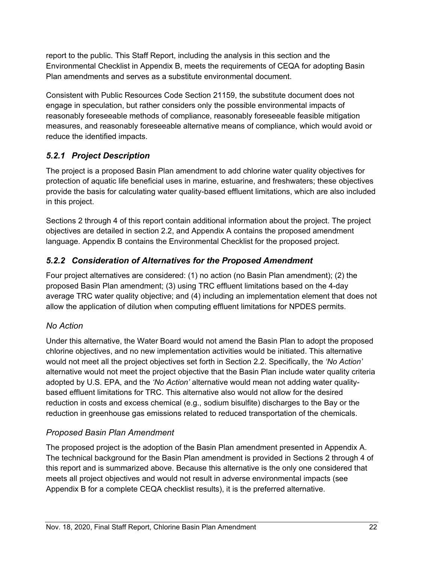report to the public. This Staff Report, including the analysis in this section and the Environmental Checklist in Appendix B, meets the requirements of CEQA for adopting Basin Plan amendments and serves as a substitute environmental document.

Consistent with Public Resources Code Section 21159, the substitute document does not engage in speculation, but rather considers only the possible environmental impacts of reasonably foreseeable methods of compliance, reasonably foreseeable feasible mitigation measures, and reasonably foreseeable alternative means of compliance, which would avoid or reduce the identified impacts.

# <span id="page-27-0"></span>*5.2.1 Project Description*

The project is a proposed Basin Plan amendment to add chlorine water quality objectives for protection of aquatic life beneficial uses in marine, estuarine, and freshwaters; these objectives provide the basis for calculating water quality-based effluent limitations, which are also included in this project.

Sections 2 through 4 of this report contain additional information about the project. The project objectives are detailed in section 2.2, and Appendix A contains the proposed amendment language. Appendix B contains the Environmental Checklist for the proposed project.

# <span id="page-27-1"></span>*5.2.2 Consideration of Alternatives for the Proposed Amendment*

Four project alternatives are considered: (1) no action (no Basin Plan amendment); (2) the proposed Basin Plan amendment; (3) using TRC effluent limitations based on the 4-day average TRC water quality objective; and (4) including an implementation element that does not allow the application of dilution when computing effluent limitations for NPDES permits.

## *No Action*

Under this alternative, the Water Board would not amend the Basin Plan to adopt the proposed chlorine objectives, and no new implementation activities would be initiated. This alternative would not meet all the project objectives set forth in Section 2.2. Specifically, the *'No Action'* alternative would not meet the project objective that the Basin Plan include water quality criteria adopted by U.S. EPA, and the *'No Action'* alternative would mean not adding water qualitybased effluent limitations for TRC. This alternative also would not allow for the desired reduction in costs and excess chemical (e.g., sodium bisulfite) discharges to the Bay or the reduction in greenhouse gas emissions related to reduced transportation of the chemicals.

## *Proposed Basin Plan Amendment*

The proposed project is the adoption of the Basin Plan amendment presented in Appendix A. The technical background for the Basin Plan amendment is provided in Sections 2 through 4 of this report and is summarized above. Because this alternative is the only one considered that meets all project objectives and would not result in adverse environmental impacts (see Appendix B for a complete CEQA checklist results), it is the preferred alternative.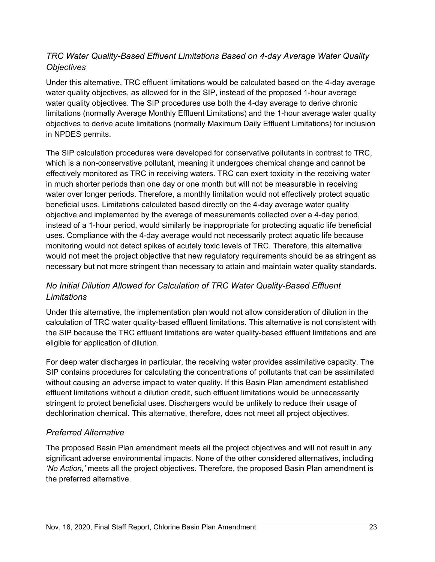## *TRC Water Quality-Based Effluent Limitations Based on 4-day Average Water Quality Objectives*

Under this alternative, TRC effluent limitations would be calculated based on the 4-day average water quality objectives, as allowed for in the SIP, instead of the proposed 1-hour average water quality objectives. The SIP procedures use both the 4-day average to derive chronic limitations (normally Average Monthly Effluent Limitations) and the 1-hour average water quality objectives to derive acute limitations (normally Maximum Daily Effluent Limitations) for inclusion in NPDES permits.

The SIP calculation procedures were developed for conservative pollutants in contrast to TRC, which is a non-conservative pollutant, meaning it undergoes chemical change and cannot be effectively monitored as TRC in receiving waters. TRC can exert toxicity in the receiving water in much shorter periods than one day or one month but will not be measurable in receiving water over longer periods. Therefore, a monthly limitation would not effectively protect aquatic beneficial uses. Limitations calculated based directly on the 4-day average water quality objective and implemented by the average of measurements collected over a 4-day period, instead of a 1-hour period, would similarly be inappropriate for protecting aquatic life beneficial uses. Compliance with the 4-day average would not necessarily protect aquatic life because monitoring would not detect spikes of acutely toxic levels of TRC. Therefore, this alternative would not meet the project objective that new regulatory requirements should be as stringent as necessary but not more stringent than necessary to attain and maintain water quality standards.

# *No Initial Dilution Allowed for Calculation of TRC Water Quality-Based Effluent Limitations*

Under this alternative, the implementation plan would not allow consideration of dilution in the calculation of TRC water quality-based effluent limitations. This alternative is not consistent with the SIP because the TRC effluent limitations are water quality-based effluent limitations and are eligible for application of dilution.

For deep water discharges in particular, the receiving water provides assimilative capacity. The SIP contains procedures for calculating the concentrations of pollutants that can be assimilated without causing an adverse impact to water quality. If this Basin Plan amendment established effluent limitations without a dilution credit, such effluent limitations would be unnecessarily stringent to protect beneficial uses. Dischargers would be unlikely to reduce their usage of dechlorination chemical. This alternative, therefore, does not meet all project objectives.

### *Preferred Alternative*

The proposed Basin Plan amendment meets all the project objectives and will not result in any significant adverse environmental impacts. None of the other considered alternatives, including *'No Action*,*'* meets all the project objectives. Therefore, the proposed Basin Plan amendment is the preferred alternative.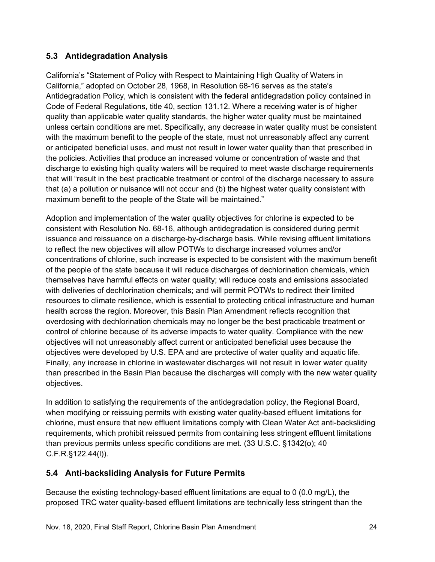### <span id="page-29-0"></span>**5.3 Antidegradation Analysis**

California's "Statement of Policy with Respect to Maintaining High Quality of Waters in California," adopted on October 28, 1968, in Resolution 68-16 serves as the state's Antidegradation Policy, which is consistent with the federal antidegradation policy contained in Code of Federal Regulations, title 40, section 131.12. Where a receiving water is of higher quality than applicable water quality standards, the higher water quality must be maintained unless certain conditions are met. Specifically, any decrease in water quality must be consistent with the maximum benefit to the people of the state, must not unreasonably affect any current or anticipated beneficial uses, and must not result in lower water quality than that prescribed in the policies. Activities that produce an increased volume or concentration of waste and that discharge to existing high quality waters will be required to meet waste discharge requirements that will "result in the best practicable treatment or control of the discharge necessary to assure that (a) a pollution or nuisance will not occur and (b) the highest water quality consistent with maximum benefit to the people of the State will be maintained."

Adoption and implementation of the water quality objectives for chlorine is expected to be consistent with Resolution No. 68-16, although antidegradation is considered during permit issuance and reissuance on a discharge-by-discharge basis. While revising effluent limitations to reflect the new objectives will allow POTWs to discharge increased volumes and/or concentrations of chlorine, such increase is expected to be consistent with the maximum benefit of the people of the state because it will reduce discharges of dechlorination chemicals, which themselves have harmful effects on water quality; will reduce costs and emissions associated with deliveries of dechlorination chemicals; and will permit POTWs to redirect their limited resources to climate resilience, which is essential to protecting critical infrastructure and human health across the region. Moreover, this Basin Plan Amendment reflects recognition that overdosing with dechlorination chemicals may no longer be the best practicable treatment or control of chlorine because of its adverse impacts to water quality. Compliance with the new objectives will not unreasonably affect current or anticipated beneficial uses because the objectives were developed by U.S. EPA and are protective of water quality and aquatic life. Finally, any increase in chlorine in wastewater discharges will not result in lower water quality than prescribed in the Basin Plan because the discharges will comply with the new water quality objectives.

In addition to satisfying the requirements of the antidegradation policy, the Regional Board, when modifying or reissuing permits with existing water quality-based effluent limitations for chlorine, must ensure that new effluent limitations comply with Clean Water Act anti-backsliding requirements, which prohibit reissued permits from containing less stringent effluent limitations than previous permits unless specific conditions are met. (33 U.S.C. §1342(o); 40 C.F.R.§122.44(l)).

## <span id="page-29-1"></span>**5.4 Anti-backsliding Analysis for Future Permits**

Because the existing technology-based effluent limitations are equal to 0 (0.0 mg/L), the proposed TRC water quality-based effluent limitations are technically less stringent than the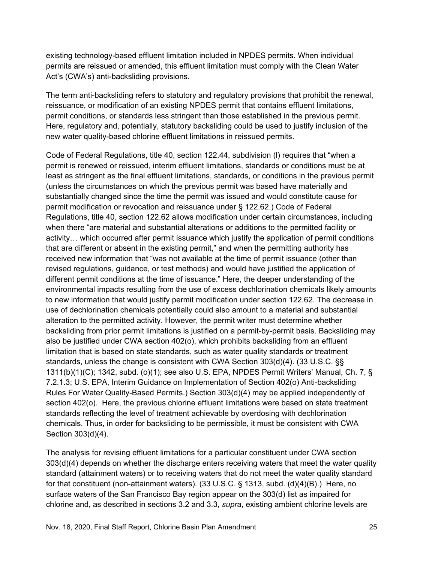existing technology-based effluent limitation included in NPDES permits. When individual permits are reissued or amended, this effluent limitation must comply with the Clean Water Act's (CWA's) anti-backsliding provisions.

The term anti-backsliding refers to statutory and regulatory provisions that prohibit the renewal, reissuance, or modification of an existing NPDES permit that contains effluent limitations, permit conditions, or standards less stringent than those established in the previous permit. Here, regulatory and, potentially, statutory backsliding could be used to justify inclusion of the new water quality-based chlorine effluent limitations in reissued permits.

Code of Federal Regulations, title 40, section 122.44, subdivision (l) requires that "when a permit is renewed or reissued, interim effluent limitations, standards or conditions must be at least as stringent as the final effluent limitations, standards, or conditions in the previous permit (unless the circumstances on which the previous permit was based have materially and substantially changed since the time the permit was issued and would constitute cause for permit modification or revocation and reissuance under § 122.62.) Code of Federal Regulations, title 40, section 122.62 allows modification under certain circumstances, including when there "are material and substantial alterations or additions to the permitted facility or activity… which occurred after permit issuance which justify the application of permit conditions that are different or absent in the existing permit," and when the permitting authority has received new information that "was not available at the time of permit issuance (other than revised regulations, guidance, or test methods) and would have justified the application of different permit conditions at the time of issuance." Here, the deeper understanding of the environmental impacts resulting from the use of excess dechlorination chemicals likely amounts to new information that would justify permit modification under section 122.62. The decrease in use of dechlorination chemicals potentially could also amount to a material and substantial alteration to the permitted activity. However, the permit writer must determine whether backsliding from prior permit limitations is justified on a permit-by-permit basis. Backsliding may also be justified under CWA section 402(o), which prohibits backsliding from an effluent limitation that is based on state standards, such as water quality standards or treatment standards, unless the change is consistent with CWA Section 303(d)(4). (33 U.S.C. §§ 1311(b)(1)(C); 1342, subd. (o)(1); see also U.S. EPA, NPDES Permit Writers' Manual, Ch. 7, § 7.2.1.3; U.S. EPA, Interim Guidance on Implementation of Section 402(o) Anti-backsliding Rules For Water Quality-Based Permits.) Section 303(d)(4) may be applied independently of section 402(o). Here, the previous chlorine effluent limitations were based on state treatment standards reflecting the level of treatment achievable by overdosing with dechlorination chemicals. Thus, in order for backsliding to be permissible, it must be consistent with CWA Section 303(d)(4).

The analysis for revising effluent limitations for a particular constituent under CWA section 303(d)(4) depends on whether the discharge enters receiving waters that meet the water quality standard (attainment waters) or to receiving waters that do not meet the water quality standard for that constituent (non-attainment waters). (33 U.S.C. § 1313, subd. (d)(4)(B).) Here, no surface waters of the San Francisco Bay region appear on the 303(d) list as impaired for chlorine and, as described in sections 3.2 and 3.3, *supra*, existing ambient chlorine levels are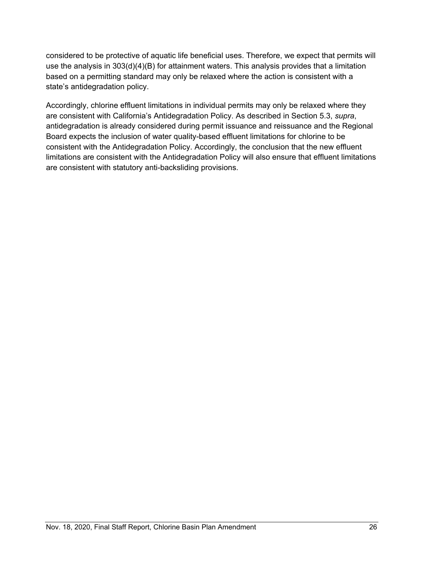considered to be protective of aquatic life beneficial uses. Therefore, we expect that permits will use the analysis in 303(d)(4)(B) for attainment waters. This analysis provides that a limitation based on a permitting standard may only be relaxed where the action is consistent with a state's antidegradation policy.

Accordingly, chlorine effluent limitations in individual permits may only be relaxed where they are consistent with California's Antidegradation Policy. As described in Section 5.3, *supra*, antidegradation is already considered during permit issuance and reissuance and the Regional Board expects the inclusion of water quality-based effluent limitations for chlorine to be consistent with the Antidegradation Policy. Accordingly, the conclusion that the new effluent limitations are consistent with the Antidegradation Policy will also ensure that effluent limitations are consistent with statutory anti-backsliding provisions.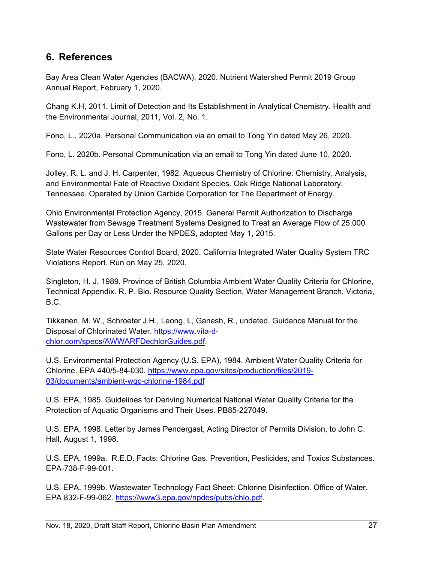# <span id="page-32-0"></span>**6. References**

Bay Area Clean Water Agencies (BACWA), 2020. Nutrient Watershed Permit 2019 Group Annual Report, February 1, 2020.

Chang K.H, 2011. Limit of Detection and Its Establishment in Analytical Chemistry. Health and the Environmental Journal, 2011, Vol. 2, No. 1.

Fono, L., 2020a. Personal Communication via an email to Tong Yin dated May 26, 2020.

Fono, L. 2020b. Personal Communication via an email to Tong Yin dated June 10, 2020.

Jolley, R. L. and J. H. Carpenter, 1982. Aqueous Chemistry of Chlorine: Chemistry, Analysis, and Environmental Fate of Reactive Oxidant Species. Oak Ridge National Laboratory, Tennessee. Operated by Union Carbide Corporation for The Department of Energy.

Ohio Environmental Protection Agency, 2015. General Permit Authorization to Discharge Wastewater from Sewage Treatment Systems Designed to Treat an Average Flow of 25,000 Gallons per Day or Less Under the NPDES, adopted May 1, 2015.

State Water Resources Control Board, 2020. California Integrated Water Quality System TRC Violations Report. Run on May 25, 2020.

Singleton, H. J, 1989. Province of British Columbia Ambient Water Quality Criteria for Chlorine, Technical Appendix. R. P. Bio. Resource Quality Section, Water Management Branch, Victoria, B.C.

Tikkanen, M. W., Schroeter J.H., Leong, L, Ganesh, R., undated. Guidance Manual for the Disposal of Chlorinated Water. [https://www.vita-d](https://www.vita-d-chlor.com/specs/AWWARFDechlorGuides.pdf)[chlor.com/specs/AWWARFDechlorGuides.pdf.](https://www.vita-d-chlor.com/specs/AWWARFDechlorGuides.pdf)

U.S. Environmental Protection Agency (U.S. EPA), 1984. Ambient Water Quality Criteria for Chlorine. EPA 440/5-84-030. [https://www.epa.gov/sites/production/files/2019-](https://www.epa.gov/sites/production/files/2019-03/documents/ambient-wqc-chlorine-1984.pdf) [03/documents/ambient-wqc-chlorine-1984.pdf](https://www.epa.gov/sites/production/files/2019-03/documents/ambient-wqc-chlorine-1984.pdf)

U.S. EPA, 1985. Guidelines for Deriving Numerical National Water Quality Criteria for the Protection of Aquatic Organisms and Their Uses. PB85-227049.

U.S. EPA, 1998. Letter by James Pendergast, Acting Director of Permits Division, to John C. Hall, August 1, 1998.

U.S. EPA, 1999a. R.E.D. Facts: Chlorine Gas. Prevention, Pesticides, and Toxics Substances. EPA-738-F-99-001.

U.S. EPA, 1999b. Wastewater Technology Fact Sheet: Chlorine Disinfection. Office of Water. EPA 832-F-99-062. [https://www3.epa.gov/npdes/pubs/chlo.pdf.](https://www3.epa.gov/npdes/pubs/chlo.pdf)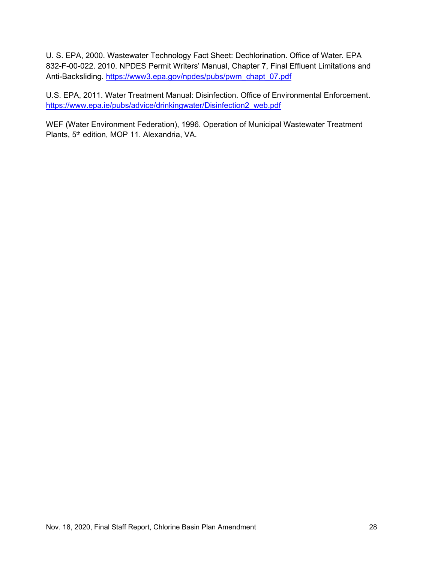U. S. EPA, 2000. Wastewater Technology Fact Sheet: Dechlorination. Office of Water. EPA 832-F-00-022. 2010. NPDES Permit Writers' Manual, Chapter 7, Final Effluent Limitations and Anti-Backsliding. [https://www3.epa.gov/npdes/pubs/pwm\\_chapt\\_07.pdf](https://www3.epa.gov/npdes/pubs/pwm_chapt_07.pdf)

U.S. EPA, 2011. Water Treatment Manual: Disinfection. Office of Environmental Enforcement. [https://www.epa.ie/pubs/advice/drinkingwater/Disinfection2\\_web.pdf](https://www.epa.ie/pubs/advice/drinkingwater/Disinfection2_web.pdf)

WEF (Water Environment Federation), 1996. Operation of Municipal Wastewater Treatment Plants, 5<sup>th</sup> edition, MOP 11. Alexandria, VA.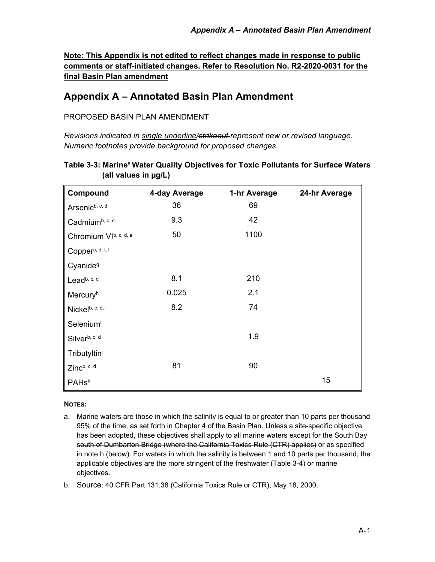**Note: This Appendix is not edited to reflect changes made in response to public comments or staff-initiated changes. Refer to Resolution No. R2-2020-0031 for the final Basin Plan amendment**

# <span id="page-34-0"></span>**Appendix A – Annotated Basin Plan Amendment**

#### PROPOSED BASIN PLAN AMENDMENT

*Revisions indicated in single underline/strikeout represent new or revised language. Numeric footnotes provide background for proposed changes.* 

| Compound                     | 4-day Average | 1-hr Average | 24-hr Average |
|------------------------------|---------------|--------------|---------------|
| Arsenic <sup>b, c, d</sup>   | 36            | 69           |               |
| Cadmiumb, c, d               | 9.3           | 42           |               |
| Chromium VIb, c, d, e        | 50            | 1100         |               |
| Copper <sup>c, d, f, l</sup> |               |              |               |
| Cyanide <sup>9</sup>         |               |              |               |
| Lead <sup>b, c, d</sup>      | 8.1           | 210          |               |
| Mercuryh                     | 0.025         | 2.1          |               |
| Nickelb, c, d, I             | 8.2           | 74           |               |
| Seleniumi                    |               |              |               |
| Silverb, c, d                |               | 1.9          |               |
| Tributyltini                 |               |              |               |
| Zincb, c, d                  | 81            | 90           |               |
| <b>PAHsk</b>                 |               |              | 15            |

### **Table 3-3: Marinea Water Quality Objectives for Toxic Pollutants for Surface Waters (all values in µg/L)**

#### **NOTES:**

a. Marine waters are those in which the salinity is equal to or greater than 10 parts per thousand 95% of the time, as set forth in Chapter 4 of the Basin Plan. Unless a site-specific objective has been adopted, these objectives shall apply to all marine waters except for the South Bay south of Dumbarton Bridge (where the California Toxics Rule (CTR) applies) or as specified in note h (below). For waters in which the salinity is between 1 and 10 parts per thousand, the applicable objectives are the more stringent of the freshwater (Table 3-4) or marine objectives.

b. Source: 40 CFR Part 131.38 (California Toxics Rule or CTR), May 18, 2000.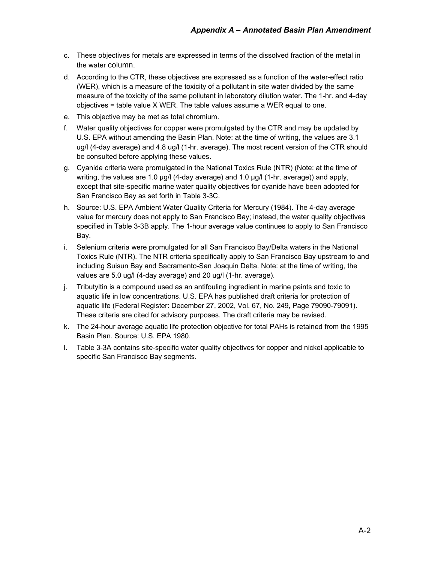- c. These objectives for metals are expressed in terms of the dissolved fraction of the metal in the water column.
- d. According to the CTR, these objectives are expressed as a function of the water-effect ratio (WER), which is a measure of the toxicity of a pollutant in site water divided by the same measure of the toxicity of the same pollutant in laboratory dilution water. The 1-hr. and 4-day objectives = table value X WER. The table values assume a WER equal to one.
- e. This objective may be met as total chromium.
- f. Water quality objectives for copper were promulgated by the CTR and may be updated by U.S. EPA without amending the Basin Plan. Note: at the time of writing, the values are 3.1 ug/l (4-day average) and 4.8 ug/l (1-hr. average). The most recent version of the CTR should be consulted before applying these values.
- g. Cyanide criteria were promulgated in the National Toxics Rule (NTR) (Note: at the time of writing, the values are 1.0 µg/l (4-day average) and 1.0 µg/l (1-hr. average)) and apply, except that site-specific marine water quality objectives for cyanide have been adopted for San Francisco Bay as set forth in Table 3-3C.
- h. Source: U.S. EPA Ambient Water Quality Criteria for Mercury (1984). The 4-day average value for mercury does not apply to San Francisco Bay; instead, the water quality objectives specified in Table 3-3B apply. The 1-hour average value continues to apply to San Francisco Bay.
- i. Selenium criteria were promulgated for all San Francisco Bay/Delta waters in the National Toxics Rule (NTR). The NTR criteria specifically apply to San Francisco Bay upstream to and including Suisun Bay and Sacramento-San Joaquin Delta. Note: at the time of writing, the values are 5.0 ug/l (4-day average) and 20 ug/l (1-hr. average).
- j. Tributyltin is a compound used as an antifouling ingredient in marine paints and toxic to aquatic life in low concentrations. U.S. EPA has published draft criteria for protection of aquatic life (Federal Register: December 27, 2002, Vol. 67, No. 249, Page 79090-79091). These criteria are cited for advisory purposes. The draft criteria may be revised.
- k. The 24-hour average aquatic life protection objective for total PAHs is retained from the 1995 Basin Plan. Source: U.S. EPA 1980.
- l. Table 3-3A contains site-specific water quality objectives for copper and nickel applicable to specific San Francisco Bay segments.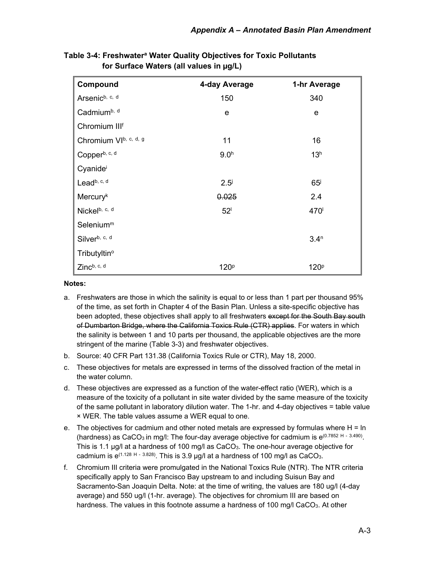| Compound                   | 4-day Average    | 1-hr Average     |
|----------------------------|------------------|------------------|
| Arsenic <sup>b, c, d</sup> | 150              | 340              |
| Cadmium <sup>b, d</sup>    | $\mathbf e$      | e                |
| Chromium IIIf              |                  |                  |
| Chromium VIb, c, d, g      | 11               | 16               |
| Copperb, c, d              | 9.0 <sup>h</sup> | 13 <sup>h</sup>  |
| Cyanidei                   |                  |                  |
| Leadb, c, d                | 2.5 <sup>j</sup> | 65 <sup>j</sup>  |
| <b>Mercuryk</b>            | 0.025            | 2.4              |
| Nickelb, c, d              | 52 <sup>1</sup>  | 470              |
| Selenium <sup>m</sup>      |                  |                  |
| Silverb, c, d              |                  | 3.4 <sup>n</sup> |
| Tributyltin <sup>o</sup>   |                  |                  |
| Zincb, c, d                | 120 <sup>p</sup> | 120 <sup>p</sup> |

**Table 3-4: Freshwatera Water Quality Objectives for Toxic Pollutants for Surface Waters (all values in µg/L)** 

#### **Notes:**

- a. Freshwaters are those in which the salinity is equal to or less than 1 part per thousand 95% of the time, as set forth in Chapter 4 of the Basin Plan. Unless a site-specific objective has been adopted, these objectives shall apply to all freshwaters except for the South Bay south of Dumbarton Bridge, where the California Toxics Rule (CTR) applies. For waters in which the salinity is between 1 and 10 parts per thousand, the applicable objectives are the more stringent of the marine (Table 3-3) and freshwater objectives.
- b. Source: 40 CFR Part 131.38 (California Toxics Rule or CTR), May 18, 2000.
- c. These objectives for metals are expressed in terms of the dissolved fraction of the metal in the water column.
- d. These objectives are expressed as a function of the water-effect ratio (WER), which is a measure of the toxicity of a pollutant in site water divided by the same measure of the toxicity of the same pollutant in laboratory dilution water. The 1-hr. and 4-day objectives = table value × WER. The table values assume a WER equal to one.
- e. The objectives for cadmium and other noted metals are expressed by formulas where  $H = In$ (hardness) as CaCO<sub>3</sub> in mg/l: The four-day average objective for cadmium is  $e^{(0.7852 H - 3.490)}$ . This is 1.1 µg/l at a hardness of 100 mg/l as CaCO<sub>3</sub>. The one-hour average objective for cadmium is  $e^{(1.128 \text{ H} - 3.828)}$ . This is 3.9 µg/l at a hardness of 100 mg/l as CaCO<sub>3</sub>.
- f. Chromium III criteria were promulgated in the National Toxics Rule (NTR). The NTR criteria specifically apply to San Francisco Bay upstream to and including Suisun Bay and Sacramento-San Joaquin Delta. Note: at the time of writing, the values are 180 ug/l (4-day average) and 550 ug/l (1-hr. average). The objectives for chromium III are based on hardness. The values in this footnote assume a hardness of 100 mg/l CaCO<sub>3</sub>. At other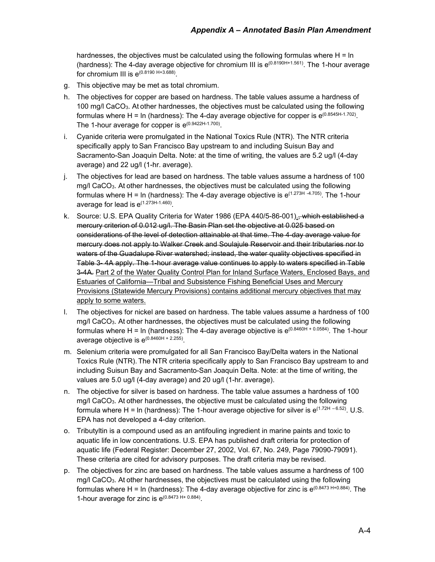hardnesses, the objectives must be calculated using the following formulas where  $H = In$ (hardness): The 4-day average objective for chromium III is  $e^{(0.8190H+1.561)}$ . The 1-hour average for chromium III is  $e^{(0.8190 H + 3.688)}$ 

- g. This objective may be met as total chromium.
- h. The objectives for copper are based on hardness. The table values assume a hardness of 100 mg/l CaCO3. At other hardnesses, the objectives must be calculated using the following formulas where H = ln (hardness): The 4-day average objective for copper is  $e^{(0.8545H-1.702)}$ . The 1-hour average for copper is  $e^{(0.9422H-1.700)}$ .
- i. Cyanide criteria were promulgated in the National Toxics Rule (NTR). The NTR criteria specifically apply to San Francisco Bay upstream to and including Suisun Bay and Sacramento-San Joaquin Delta. Note: at the time of writing, the values are 5.2 ug/l (4-day average) and 22 ug/l (1-hr. average).
- j. The objectives for lead are based on hardness. The table values assume a hardness of 100 mg/l CaCO3. At other hardnesses, the objectives must be calculated using the following formulas where H = ln (hardness): The 4-day average objective is  $e^{(1.273H - 4.705)}$ . The 1-hour average for lead is e(1.273H-1.460).
- k. Source: U.S. EPA Quality Criteria for Water 1986 (EPA 440/5-86-001)., which established a mercury criterion of 0.012 ug/l. The Basin Plan set the objective at 0.025 based on considerations of the level of detection attainable at that time. The 4-day average value for mercury does not apply to Walker Creek and Soulajule Reservoir and their tributaries nor to waters of the Guadalupe River watershed; instead, the water quality objectives specified in Table 3- 4A apply. The 1-hour average value continues to apply to waters specified in Table 3-4A. Part 2 of the Water Quality Control Plan for Inland Surface Waters, Enclosed Bays, and Estuaries of California—Tribal and Subsistence Fishing Beneficial Uses and Mercury Provisions (Statewide Mercury Provisions) contains additional mercury objectives that may apply to some waters.
- l. The objectives for nickel are based on hardness. The table values assume a hardness of 100 mg/l CaCO3. At other hardnesses, the objectives must be calculated using the following formulas where H = ln (hardness): The 4-day average objective is  $e^{(0.8460H + 0.0584)}$ . The 1-hour average objective is  $e^{(0.8460H + 2.255)}$ .
- m. Selenium criteria were promulgated for all San Francisco Bay/Delta waters in the National Toxics Rule (NTR). The NTR criteria specifically apply to San Francisco Bay upstream to and including Suisun Bay and Sacramento-San Joaquin Delta. Note: at the time of writing, the values are 5.0 ug/l (4-day average) and 20 ug/l (1-hr. average).
- n. The objective for silver is based on hardness. The table value assumes a hardness of 100 mg/l CaCO3. At other hardnesses, the objective must be calculated using the following formula where H = ln (hardness): The 1-hour average objective for silver is  $e^{(1.72H - 6.52)}$ . U.S. EPA has not developed a 4-day criterion.
- o. Tributyltin is a compound used as an antifouling ingredient in marine paints and toxic to aquatic life in low concentrations. U.S. EPA has published draft criteria for protection of aquatic life (Federal Register: December 27, 2002, Vol. 67, No. 249, Page 79090-79091). These criteria are cited for advisory purposes. The draft criteria may be revised.
- p. The objectives for zinc are based on hardness. The table values assume a hardness of 100 mg/l CaCO<sub>3</sub>. At other hardnesses, the objectives must be calculated using the following formulas where H = ln (hardness): The 4-day average objective for zinc is  $e^{(0.8473 H+0.884)}$ . The 1-hour average for zinc is  $e^{(0.8473 H + 0.884)}$ .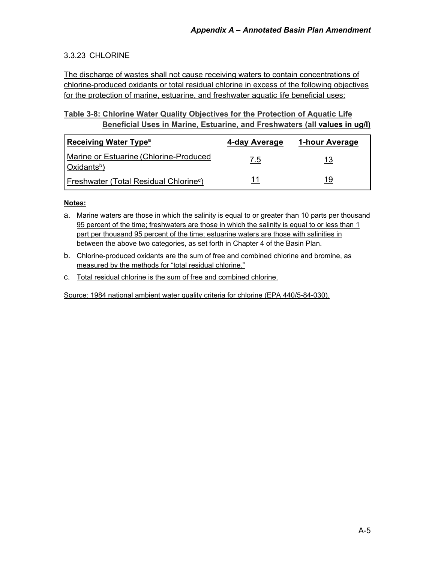### 3.3.23 CHLORINE

The discharge of wastes shall not cause receiving waters to contain concentrations of chlorine-produced oxidants or total residual chlorine in excess of the following objectives for the protection of marine, estuarine, and freshwater aquatic life beneficial uses:

### **Table 3-8: Chlorine Water Quality Objectives for the Protection of Aquatic Life Beneficial Uses in Marine, Estuarine, and Freshwaters (all values in ug/l)**

| <b>Receiving Water Type<sup>a</sup></b>                           | 4-day Average | 1-hour Average |
|-------------------------------------------------------------------|---------------|----------------|
| Marine or Estuarine (Chlorine-Produced<br>Oxidants <sup>b</sup> ) | 7.5           | 13             |
| <b>Freshwater (Total Residual Chlorine<sup>c</sup>)</b>           |               | 19             |

#### **Notes:**

- a. Marine waters are those in which the salinity is equal to or greater than 10 parts per thousand 95 percent of the time; freshwaters are those in which the salinity is equal to or less than 1 part per thousand 95 percent of the time; estuarine waters are those with salinities in between the above two categories, as set forth in Chapter 4 of the Basin Plan.
- b. Chlorine-produced oxidants are the sum of free and combined chlorine and bromine, as measured by the methods for "total residual chlorine."
- c. Total residual chlorine is the sum of free and combined chlorine.

Source: 1984 national ambient water quality criteria for chlorine (EPA 440/5-84-030).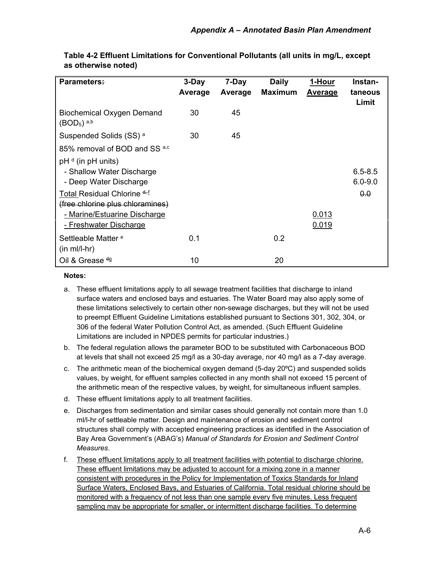| <b>Parameters:</b>                                                                                                                                                                         | 3-Day<br>Average | 7-Day<br>Average | <b>Daily</b><br><b>Maximum</b> | 1-Hour<br>Average | Instan-<br>taneous<br>Limit       |
|--------------------------------------------------------------------------------------------------------------------------------------------------------------------------------------------|------------------|------------------|--------------------------------|-------------------|-----------------------------------|
| <b>Biochemical Oxygen Demand</b><br>(BOD <sub>5</sub> ) <sup>a,b</sup>                                                                                                                     | 30               | 45               |                                |                   |                                   |
| Suspended Solids (SS) <sup>a</sup>                                                                                                                                                         | 30               | 45               |                                |                   |                                   |
| 85% removal of BOD and SS <sup>a,c</sup>                                                                                                                                                   |                  |                  |                                |                   |                                   |
| $pHd$ (in $pH$ units)<br>- Shallow Water Discharge<br>- Deep Water Discharge<br>Total Residual Chlorine <sup>d-f</sup><br>(free chlorine plus chloramines)<br>- Marine/Estuarine Discharge |                  |                  |                                | 0.013             | $6.5 - 8.5$<br>$6.0 - 9.0$<br>0.0 |
| - Freshwater Discharge                                                                                                                                                                     |                  |                  |                                | 0.019             |                                   |
| Settleable Matter <sup>e</sup><br>$(in ml/l-hr)$                                                                                                                                           | 0.1              |                  | 0.2                            |                   |                                   |
| Oil & Grease <sup>dg</sup>                                                                                                                                                                 | 10               |                  | 20                             |                   |                                   |

**Table 4-2 Effluent Limitations for Conventional Pollutants (all units in mg/L, except as otherwise noted)**

#### **Notes:**

- a. These effluent limitations apply to all sewage treatment facilities that discharge to inland surface waters and enclosed bays and estuaries. The Water Board may also apply some of these limitations selectively to certain other non-sewage discharges, but they will not be used to preempt Effluent Guideline Limitations established pursuant to Sections 301, 302, 304, or 306 of the federal Water Pollution Control Act, as amended. (Such Effluent Guideline Limitations are included in NPDES permits for particular industries.)
- b. The federal regulation allows the parameter BOD to be substituted with Carbonaceous BOD at levels that shall not exceed 25 mg/l as a 30-day average, nor 40 mg/l as a 7-day average.
- c. The arithmetic mean of the biochemical oxygen demand (5-day 20ºC) and suspended solids values, by weight, for effluent samples collected in any month shall not exceed 15 percent of the arithmetic mean of the respective values, by weight, for simultaneous influent samples.
- d. These effluent limitations apply to all treatment facilities.
- e. Discharges from sedimentation and similar cases should generally not contain more than 1.0 ml/l-hr of settleable matter. Design and maintenance of erosion and sediment control structures shall comply with accepted engineering practices as identified in the Association of Bay Area Government's (ABAG's) *Manual of Standards for Erosion and Sediment Control Measures*.
- f. These effluent limitations apply to all treatment facilities with potential to discharge chlorine. These effluent limitations may be adjusted to account for a mixing zone in a manner consistent with procedures in the Policy for Implementation of Toxics Standards for Inland Surface Waters, Enclosed Bays, and Estuaries of California. Total residual chlorine should be monitored with a frequency of not less than one sample every five minutes. Less frequent sampling may be appropriate for smaller, or intermittent discharge facilities. To determine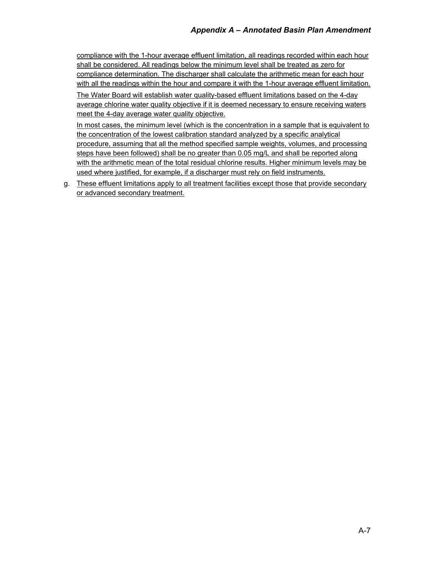compliance with the 1-hour average effluent limitation, all readings recorded within each hour shall be considered. All readings below the minimum level shall be treated as zero for compliance determination. The discharger shall calculate the arithmetic mean for each hour with all the readings within the hour and compare it with the 1-hour average effluent limitation.

The Water Board will establish water quality-based effluent limitations based on the 4-day average chlorine water quality objective if it is deemed necessary to ensure receiving waters meet the 4-day average water quality objective.

In most cases, the minimum level (which is the concentration in a sample that is equivalent to the concentration of the lowest calibration standard analyzed by a specific analytical procedure, assuming that all the method specified sample weights, volumes, and processing steps have been followed) shall be no greater than 0.05 mg/L and shall be reported along with the arithmetic mean of the total residual chlorine results. Higher minimum levels may be used where justified, for example, if a discharger must rely on field instruments.

g. These effluent limitations apply to all treatment facilities except those that provide secondary or advanced secondary treatment.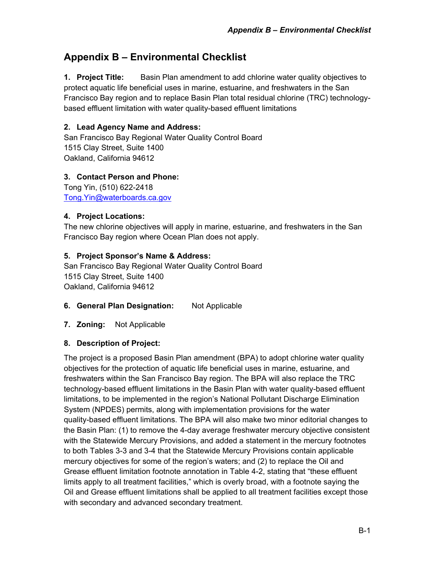# <span id="page-41-0"></span>**Appendix B – Environmental Checklist**

**1. Project Title:** Basin Plan amendment to add chlorine water quality objectives to protect aquatic life beneficial uses in marine, estuarine, and freshwaters in the San Francisco Bay region and to replace Basin Plan total residual chlorine (TRC) technologybased effluent limitation with water quality-based effluent limitations

### **2. Lead Agency Name and Address:**

San Francisco Bay Regional Water Quality Control Board 1515 Clay Street, Suite 1400 Oakland, California 94612

#### **3. Contact Person and Phone:**

Tong Yin, (510) 622-2418 [Tong.Yin@waterboards.ca.gov](mailto:Tong.Yin@waterboards.ca.gov)

#### **4. Project Locations:**

The new chlorine objectives will apply in marine, estuarine, and freshwaters in the San Francisco Bay region where Ocean Plan does not apply.

#### **5. Project Sponsor's Name & Address:**

San Francisco Bay Regional Water Quality Control Board 1515 Clay Street, Suite 1400 Oakland, California 94612

- **6. General Plan Designation:** Not Applicable
- **7. Zoning:** Not Applicable

### **8. Description of Project:**

The project is a proposed Basin Plan amendment (BPA) to adopt chlorine water quality objectives for the protection of aquatic life beneficial uses in marine, estuarine, and freshwaters within the San Francisco Bay region. The BPA will also replace the TRC technology-based effluent limitations in the Basin Plan with water quality-based effluent limitations, to be implemented in the region's National Pollutant Discharge Elimination System (NPDES) permits, along with implementation provisions for the water quality-based effluent limitations. The BPA will also make two minor editorial changes to the Basin Plan: (1) to remove the 4-day average freshwater mercury objective consistent with the Statewide Mercury Provisions, and added a statement in the mercury footnotes to both Tables 3-3 and 3-4 that the Statewide Mercury Provisions contain applicable mercury objectives for some of the region's waters; and (2) to replace the Oil and Grease effluent limitation footnote annotation in Table 4-2, stating that "these effluent limits apply to all treatment facilities," which is overly broad, with a footnote saying the Oil and Grease effluent limitations shall be applied to all treatment facilities except those with secondary and advanced secondary treatment.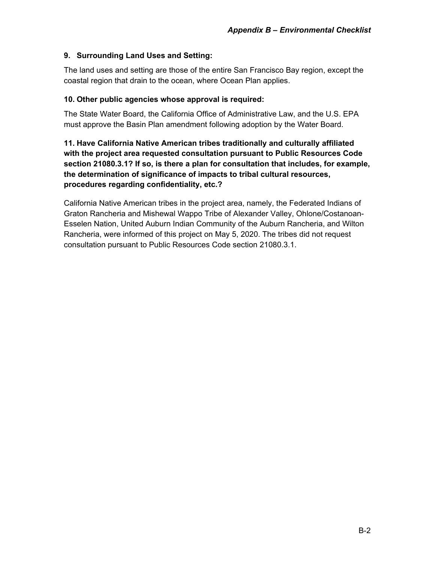### **9. Surrounding Land Uses and Setting:**

The land uses and setting are those of the entire San Francisco Bay region, except the coastal region that drain to the ocean, where Ocean Plan applies.

### **10. Other public agencies whose approval is required:**

The State Water Board, the California Office of Administrative Law, and the U.S. EPA must approve the Basin Plan amendment following adoption by the Water Board.

**11. Have California Native American tribes traditionally and culturally affiliated with the project area requested consultation pursuant to Public Resources Code section 21080.3.1? If so, is there a plan for consultation that includes, for example, the determination of significance of impacts to tribal cultural resources, procedures regarding confidentiality, etc.?**

California Native American tribes in the project area, namely, the Federated Indians of Graton Rancheria and Mishewal Wappo Tribe of Alexander Valley, Ohlone/Costanoan-Esselen Nation, United Auburn Indian Community of the Auburn Rancheria, and Wilton Rancheria, were informed of this project on May 5, 2020. The tribes did not request consultation pursuant to Public Resources Code section 21080.3.1.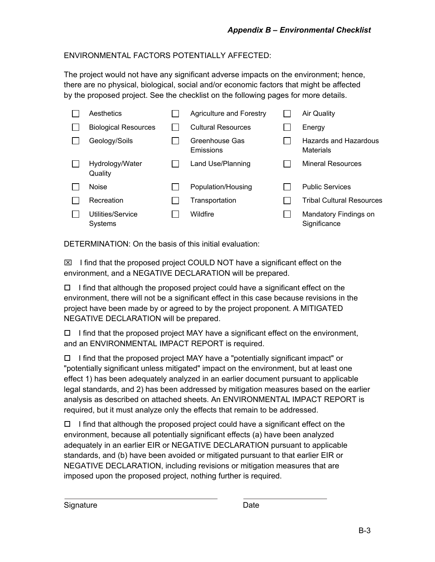### ENVIRONMENTAL FACTORS POTENTIALLY AFFECTED:

The project would not have any significant adverse impacts on the environment; hence, there are no physical, biological, social and/or economic factors that might be affected by the proposed project. See the checklist on the following pages for more details.

| Aesthetics                   | <b>Agriculture and Forestry</b> | <b>Air Quality</b>                    |
|------------------------------|---------------------------------|---------------------------------------|
| <b>Biological Resources</b>  | <b>Cultural Resources</b>       | Energy                                |
| Geology/Soils                | Greenhouse Gas<br>Emissions     | Hazards and Hazardous<br>Materials    |
| Hydrology/Water<br>Quality   | Land Use/Planning               | <b>Mineral Resources</b>              |
| <b>Noise</b>                 | Population/Housing              | <b>Public Services</b>                |
| Recreation                   | Transportation                  | <b>Tribal Cultural Resources</b>      |
| Utilities/Service<br>Systems | Wildfire                        | Mandatory Findings on<br>Significance |
|                              |                                 |                                       |

DETERMINATION: On the basis of this initial evaluation:

 $\boxtimes$  I find that the proposed project COULD NOT have a significant effect on the environment, and a NEGATIVE DECLARATION will be prepared.

 $\Box$  I find that although the proposed project could have a significant effect on the environment, there will not be a significant effect in this case because revisions in the project have been made by or agreed to by the project proponent. A MITIGATED NEGATIVE DECLARATION will be prepared.

 $\Box$  I find that the proposed project MAY have a significant effect on the environment, and an ENVIRONMENTAL IMPACT REPORT is required.

 $\Box$  I find that the proposed project MAY have a "potentially significant impact" or "potentially significant unless mitigated" impact on the environment, but at least one effect 1) has been adequately analyzed in an earlier document pursuant to applicable legal standards, and 2) has been addressed by mitigation measures based on the earlier analysis as described on attached sheets. An ENVIRONMENTAL IMPACT REPORT is required, but it must analyze only the effects that remain to be addressed.

 $\Box$  I find that although the proposed project could have a significant effect on the environment, because all potentially significant effects (a) have been analyzed adequately in an earlier EIR or NEGATIVE DECLARATION pursuant to applicable standards, and (b) have been avoided or mitigated pursuant to that earlier EIR or NEGATIVE DECLARATION, including revisions or mitigation measures that are imposed upon the proposed project, nothing further is required.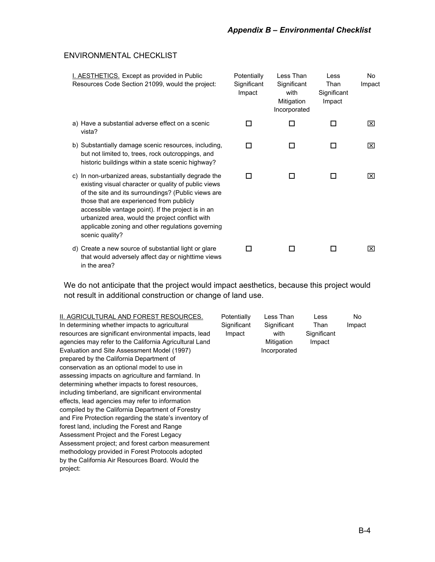#### ENVIRONMENTAL CHECKLIST

| I. AESTHETICS. Except as provided in Public<br>Resources Code Section 21099, would the project:                                                                                                                                                                                                                                                                                                  | Potentially<br>Significant<br>Impact | Less Than<br>Significant<br>with<br>Mitigation<br>Incorporated | Less<br>Than<br>Significant<br>Impact | No<br>Impact |
|--------------------------------------------------------------------------------------------------------------------------------------------------------------------------------------------------------------------------------------------------------------------------------------------------------------------------------------------------------------------------------------------------|--------------------------------------|----------------------------------------------------------------|---------------------------------------|--------------|
| a) Have a substantial adverse effect on a scenic<br>vista?                                                                                                                                                                                                                                                                                                                                       | П                                    | П                                                              | п                                     | ⊠            |
| b) Substantially damage scenic resources, including,<br>but not limited to, trees, rock outcroppings, and<br>historic buildings within a state scenic highway?                                                                                                                                                                                                                                   | □                                    | П                                                              |                                       | ⊠            |
| c) In non-urbanized areas, substantially degrade the<br>existing visual character or quality of public views<br>of the site and its surroundings? (Public views are<br>those that are experienced from publicly<br>accessible vantage point). If the project is in an<br>urbanized area, would the project conflict with<br>applicable zoning and other regulations governing<br>scenic quality? | П                                    | п                                                              | П                                     | ⊠            |
| d) Create a new source of substantial light or glare<br>that would adversely affect day or nighttime views<br>in the area?                                                                                                                                                                                                                                                                       |                                      | П                                                              | ΙI                                    | ⊠            |

We do not anticipate that the project would impact aesthetics, because this project would not result in additional construction or change of land use.

II. AGRICULTURAL AND FOREST RESOURCES. In determining whether impacts to agricultural resources are significant environmental impacts, lead agencies may refer to the California Agricultural Land Evaluation and Site Assessment Model (1997) prepared by the California Department of conservation as an optional model to use in assessing impacts on agriculture and farmland. In determining whether impacts to forest resources, including timberland, are significant environmental effects, lead agencies may refer to information compiled by the California Department of Forestry and Fire Protection regarding the state's inventory of forest land, including the Forest and Range Assessment Project and the Forest Legacy Assessment project; and forest carbon measurement methodology provided in Forest Protocols adopted by the California Air Resources Board. Would the project: **Potentially Significant** Impact Less Than **Significant** with Mitigation Incorporated Less Than **Significant** Impact No Impact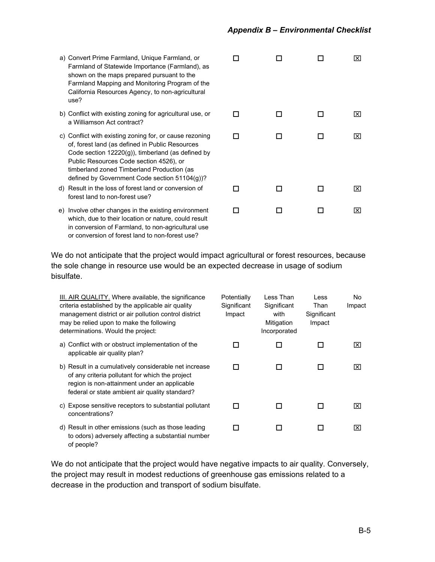- a) Convert Prime Farmland, Unique Farmlan Farmland of Statewide Importance (Farmla shown on the maps prepared pursuant to Farmland Mapping and Monitoring Program California Resources Agency, to non-agric use?
- b) Conflict with existing zoning for agricultura a Williamson Act contract?
- c) Conflict with existing zoning for, or cause of, forest land (as defined in Public Resour Code section  $12220(g)$ ), timberland (as de Public Resources Code section 4526), or timberland zoned Timberland Production (as defined by Government Code section 511
- d) Result in the loss of forest land or conversi forest land to non-forest use?
- e) Involve other changes in the existing environment which, due to their location or nature, could in conversion of Farmland, to non-agricultu or conversion of forest land to non-forest use?

| ıd, or<br>and), as<br>the<br>m of the<br>cultural |    |   |    | ⊠                       |
|---------------------------------------------------|----|---|----|-------------------------|
| al use, or                                        | □  | п | П  | $\overline{\mathsf{x}}$ |
| rezoning<br>rces<br>efined by                     | П  | п | п  | $\overline{\mathsf{x}}$ |
| (as<br>04(g))?<br>ion of                          | ⊓  | □ | □  | $\overline{\mathsf{x}}$ |
| ronment<br>d result<br>ural use                   | ΙI | ப | LΙ | $\overline{\mathsf{x}}$ |

We do not anticipate that the project would impact agricultural or forest resources, because the sole change in resource use would be an expected decrease in usage of sodium bisulfate.

| III. AIR QUALITY. Where available, the significance<br>criteria established by the applicable air quality<br>management district or air pollution control district<br>may be relied upon to make the following<br>determinations. Would the project: | Potentially<br>Significant<br>Impact | Less Than<br>Significant<br>with<br>Mitigation<br>Incorporated | <b>Less</b><br>Than<br>Significant<br>Impact | No<br>Impact            |
|------------------------------------------------------------------------------------------------------------------------------------------------------------------------------------------------------------------------------------------------------|--------------------------------------|----------------------------------------------------------------|----------------------------------------------|-------------------------|
| a) Conflict with or obstruct implementation of the<br>applicable air quality plan?                                                                                                                                                                   |                                      |                                                                |                                              | ⊠                       |
| b) Result in a cumulatively considerable net increase<br>of any criteria pollutant for which the project<br>region is non-attainment under an applicable<br>federal or state ambient air quality standard?                                           |                                      | H                                                              | П                                            | ⊠                       |
| c) Expose sensitive receptors to substantial pollutant<br>concentrations?                                                                                                                                                                            |                                      |                                                                |                                              | Ι×Ι                     |
| d) Result in other emissions (such as those leading<br>to odors) adversely affecting a substantial number<br>of people?                                                                                                                              |                                      | □                                                              | H                                            | $\mathsf{ \mathsf{x} }$ |

We do not anticipate that the project would have negative impacts to air quality. Conversely, the project may result in modest reductions of greenhouse gas emissions related to a decrease in the production and transport of sodium bisulfate.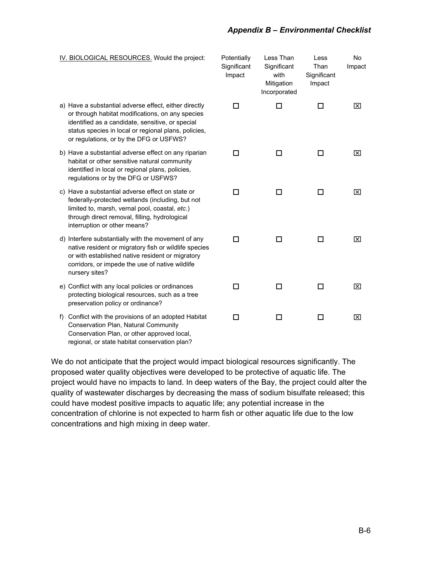#### *Appendix B – Environmental Checklist*

| IV. BIOLOGICAL RESOURCES. Would the project:                                                                                                                                                                                                                     | Potentially<br>Significant<br>Impact | Less Than<br>Significant<br>with<br>Mitigation<br>Incorporated | Less<br>Than<br>Significant<br>Impact | No.<br>Impact |
|------------------------------------------------------------------------------------------------------------------------------------------------------------------------------------------------------------------------------------------------------------------|--------------------------------------|----------------------------------------------------------------|---------------------------------------|---------------|
| a) Have a substantial adverse effect, either directly<br>or through habitat modifications, on any species<br>identified as a candidate, sensitive, or special<br>status species in local or regional plans, policies,<br>or regulations, or by the DFG or USFWS? | □                                    | □                                                              | □                                     | ⊠             |
| b) Have a substantial adverse effect on any riparian<br>habitat or other sensitive natural community<br>identified in local or regional plans, policies,<br>regulations or by the DFG or USFWS?                                                                  | п                                    | □                                                              | □                                     | ⊠             |
| c) Have a substantial adverse effect on state or<br>federally-protected wetlands (including, but not<br>limited to, marsh, vernal pool, coastal, etc.)<br>through direct removal, filling, hydrological<br>interruption or other means?                          | п                                    | □                                                              | □                                     | ⊠             |
| d) Interfere substantially with the movement of any<br>native resident or migratory fish or wildlife species<br>or with established native resident or migratory<br>corridors, or impede the use of native wildlife<br>nursery sites?                            | п                                    | п                                                              | □                                     | ⊠             |
| e) Conflict with any local policies or ordinances<br>protecting biological resources, such as a tree<br>preservation policy or ordinance?                                                                                                                        | п                                    | □                                                              | $\Box$                                | ⊠             |
| Conflict with the provisions of an adopted Habitat<br>f)<br><b>Conservation Plan, Natural Community</b><br>Conservation Plan, or other approved local,<br>regional, or state habitat conservation plan?                                                          | п                                    | $\Box$                                                         | □                                     | 区             |

We do not anticipate that the project would impact biological resources significantly. The proposed water quality objectives were developed to be protective of aquatic life. The project would have no impacts to land. In deep waters of the Bay, the project could alter the quality of wastewater discharges by decreasing the mass of sodium bisulfate released; this could have modest positive impacts to aquatic life; any potential increase in the concentration of chlorine is not expected to harm fish or other aquatic life due to the low concentrations and high mixing in deep water.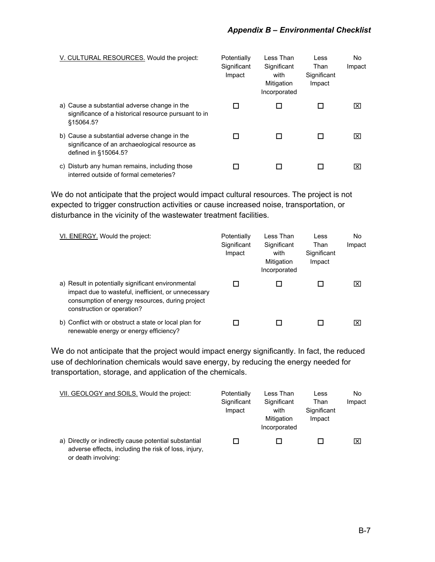| V. CULTURAL RESOURCES. Would the project:                                                                             | Potentially<br>Significant<br>Impact | Less Than<br>Significant<br>with<br>Mitigation<br>Incorporated | Less<br>Than<br>Significant<br>Impact | No.<br>Impact |
|-----------------------------------------------------------------------------------------------------------------------|--------------------------------------|----------------------------------------------------------------|---------------------------------------|---------------|
| a) Cause a substantial adverse change in the<br>significance of a historical resource pursuant to in<br>§15064.5?     |                                      |                                                                |                                       | l×l           |
| b) Cause a substantial adverse change in the<br>significance of an archaeological resource as<br>defined in §15064.5? |                                      |                                                                |                                       | l×l           |
| Disturb any human remains, including those<br>C)<br>interred outside of formal cemeteries?                            |                                      |                                                                |                                       | l×l           |

We do not anticipate that the project would impact cultural resources. The project is not expected to trigger construction activities or cause increased noise, transportation, or disturbance in the vicinity of the wastewater treatment facilities.

| VI. ENERGY. Would the project:                                                                                                                                                             | Potentially<br>Significant<br>Impact | Less Than<br>Significant<br>with<br>Mitigation<br>Incorporated | Less<br>Than<br>Significant<br>Impact | No.<br>Impact |
|--------------------------------------------------------------------------------------------------------------------------------------------------------------------------------------------|--------------------------------------|----------------------------------------------------------------|---------------------------------------|---------------|
| a) Result in potentially significant environmental<br>impact due to wasteful, inefficient, or unnecessary<br>consumption of energy resources, during project<br>construction or operation? |                                      |                                                                |                                       | I×I           |
| b) Conflict with or obstruct a state or local plan for<br>renewable energy or energy efficiency?                                                                                           |                                      |                                                                |                                       | Ι×Ι           |

We do not anticipate that the project would impact energy significantly. In fact, the reduced use of dechlorination chemicals would save energy, by reducing the energy needed for transportation, storage, and application of the chemicals.

| VII. GEOLOGY and SOILS. Would the project:                                                                                           | Potentially<br>Significant<br>Impact | Less Than<br>Significant<br>with<br>Mitigation<br>Incorporated | Less<br>Than<br>Significant<br>Impact | No<br>Impact |
|--------------------------------------------------------------------------------------------------------------------------------------|--------------------------------------|----------------------------------------------------------------|---------------------------------------|--------------|
| a) Directly or indirectly cause potential substantial<br>adverse effects, including the risk of loss, injury,<br>or death involving: |                                      |                                                                |                                       | Ι×           |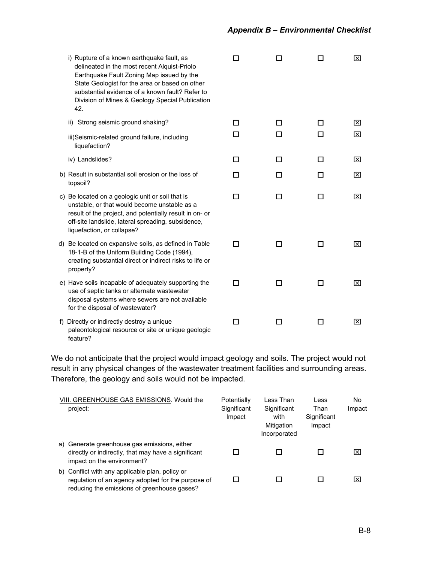| i) Rupture of a known earthquake fault, as<br>delineated in the most recent Alquist-Priolo<br>Earthquake Fault Zoning Map issued by the<br>State Geologist for the area or based on other<br>substantial evidence of a known fault? Refer to<br>Division of Mines & Geology Special Publication<br>42. | П | П |     | ⊠ |
|--------------------------------------------------------------------------------------------------------------------------------------------------------------------------------------------------------------------------------------------------------------------------------------------------------|---|---|-----|---|
| ii) Strong seismic ground shaking?                                                                                                                                                                                                                                                                     | П | П | ΙI  | ⊠ |
| iii)Seismic-related ground failure, including<br>liquefaction?                                                                                                                                                                                                                                         | П | П | l 1 | 区 |
| iv) Landslides?                                                                                                                                                                                                                                                                                        | п | □ | п   | ⊠ |
| b) Result in substantial soil erosion or the loss of<br>topsoil?                                                                                                                                                                                                                                       | п | П | П   | 冈 |
| c) Be located on a geologic unit or soil that is<br>unstable, or that would become unstable as a<br>result of the project, and potentially result in on- or<br>off-site landslide, lateral spreading, subsidence,<br>liquefaction, or collapse?                                                        | П | □ | П   | ⊠ |
| d) Be located on expansive soils, as defined in Table<br>18-1-B of the Uniform Building Code (1994),<br>creating substantial direct or indirect risks to life or<br>property?                                                                                                                          | п | □ | П   | ⊠ |
| e) Have soils incapable of adequately supporting the<br>use of septic tanks or alternate wastewater<br>disposal systems where sewers are not available<br>for the disposal of wastewater?                                                                                                              | п | □ | П   | 冈 |
| f) Directly or indirectly destroy a unique<br>paleontological resource or site or unique geologic<br>feature?                                                                                                                                                                                          | п | □ | П   | ⊠ |

We do not anticipate that the project would impact geology and soils. The project would not result in any physical changes of the wastewater treatment facilities and surrounding areas. Therefore, the geology and soils would not be impacted.

| VIII. GREENHOUSE GAS EMISSIONS. Would the<br>project:                                                                                                | Potentially<br>Significant<br>Impact | Less Than<br>Significant<br>with<br>Mitigation<br>Incorporated | Less<br>Than<br>Significant<br>Impact | No.<br>Impact |
|------------------------------------------------------------------------------------------------------------------------------------------------------|--------------------------------------|----------------------------------------------------------------|---------------------------------------|---------------|
| a) Generate greenhouse gas emissions, either<br>directly or indirectly, that may have a significant<br>impact on the environment?                    |                                      |                                                                |                                       | Ι×Ι           |
| b) Conflict with any applicable plan, policy or<br>regulation of an agency adopted for the purpose of<br>reducing the emissions of greenhouse gases? |                                      |                                                                |                                       | l×l           |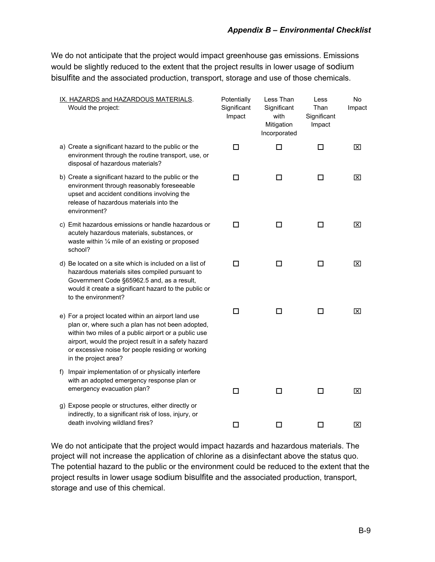We do not anticipate that the project would impact greenhouse gas emissions. Emissions would be slightly reduced to the extent that the project results in lower usage of sodium bisulfite and the associated production, transport, storage and use of those chemicals.

| IX. HAZARDS and HAZARDOUS MATERIALS.<br>Would the project:                                                                                                                                                                                                                                           | Potentially<br>Significant<br>Impact | Less Than<br>Significant<br>with<br>Mitigation<br>Incorporated | Less<br>Than<br>Significant<br>Impact | No<br>Impact |
|------------------------------------------------------------------------------------------------------------------------------------------------------------------------------------------------------------------------------------------------------------------------------------------------------|--------------------------------------|----------------------------------------------------------------|---------------------------------------|--------------|
| a) Create a significant hazard to the public or the<br>environment through the routine transport, use, or<br>disposal of hazardous materials?                                                                                                                                                        | $\Box$                               | □                                                              | $\Box$                                | 区            |
| b) Create a significant hazard to the public or the<br>environment through reasonably foreseeable<br>upset and accident conditions involving the<br>release of hazardous materials into the<br>environment?                                                                                          | □                                    | $\Box$                                                         | $\Box$                                | 区            |
| c) Emit hazardous emissions or handle hazardous or<br>acutely hazardous materials, substances, or<br>waste within 1/4 mile of an existing or proposed<br>school?                                                                                                                                     | □                                    | $\Box$                                                         | □                                     | ⊠            |
| d) Be located on a site which is included on a list of<br>hazardous materials sites compiled pursuant to<br>Government Code §65962.5 and, as a result,<br>would it create a significant hazard to the public or<br>to the environment?                                                               | □                                    | $\Box$                                                         | $\Box$                                | ⊠            |
| e) For a project located within an airport land use<br>plan or, where such a plan has not been adopted,<br>within two miles of a public airport or a public use<br>airport, would the project result in a safety hazard<br>or excessive noise for people residing or working<br>in the project area? | п                                    | п                                                              | п                                     | ⊠            |
| f) Impair implementation of or physically interfere<br>with an adopted emergency response plan or<br>emergency evacuation plan?                                                                                                                                                                      | □                                    | $\Box$                                                         | □                                     | 区            |
| g) Expose people or structures, either directly or<br>indirectly, to a significant risk of loss, injury, or<br>death involving wildland fires?                                                                                                                                                       | □                                    | □                                                              | □                                     | 区            |

We do not anticipate that the project would impact hazards and hazardous materials. The project will not increase the application of chlorine as a disinfectant above the status quo. The potential hazard to the public or the environment could be reduced to the extent that the project results in lower usage sodium bisulfite and the associated production, transport, storage and use of this chemical.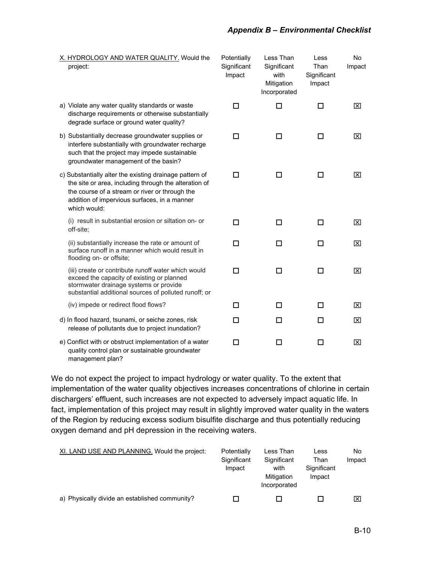- X. HYDROLOGY AND WATER QUALITY. W project:
- a) Violate any water quality standards or was discharge requirements or otherwise subs degrade surface or ground water quality?
- b) Substantially decrease groundwater suppl interfere substantially with groundwater re such that the project may impede sustaina groundwater management of the basin?
- c) Substantially alter the existing drainage path the site or area, including through the alter the course of a stream or river or through addition of impervious surfaces, in a manr which would:

(i) result in substantial erosion or siltation off-site;

(ii) substantially increase the rate or amou surface runoff in a manner which would re flooding on- or offsite;

(iii) create or contribute runoff water which exceed the capacity of existing or planned stormwater drainage systems or provide substantial additional sources of polluted r

(iv) impede or redirect flood flows?

- d) In flood hazard, tsunami, or seiche zones, release of pollutants due to project inunda
- e) Conflict with or obstruct implementation of quality control plan or sustainable groundy management plan?

| /ould the                            | Potentially<br>Significant<br>Impact | Less Than<br>Significant<br>with<br>Mitigation<br>Incorporated | Less<br>Than<br>Significant<br>Impact | No<br>Impact            |
|--------------------------------------|--------------------------------------|----------------------------------------------------------------|---------------------------------------|-------------------------|
| ste<br>stantially                    | ◻                                    | □                                                              | п                                     | ⊠                       |
| lies or<br>charge:<br>able           | Γı                                   |                                                                | П                                     | $\overline{\mathsf{x}}$ |
| attern of<br>ration of<br>the<br>her | □                                    | П                                                              | П                                     | $\overline{\mathsf{x}}$ |
| on- or                               | $\Box$                               | П                                                              | П                                     | ⊠                       |
| int of<br>sult in                    | $\Box$                               | □                                                              | $\Box$                                | $\overline{\mathsf{x}}$ |
| would<br>ł                           | п                                    | П                                                              | п                                     | $\overline{\mathsf{x}}$ |
| runoff; or                           |                                      |                                                                |                                       |                         |
|                                      | П                                    | п                                                              | п                                     | ⊠                       |
| risk<br>ation?                       | ◻                                    | □                                                              | П                                     | $\overline{\mathsf{x}}$ |
| <sup>:</sup> a water<br>water        | ┒                                    |                                                                |                                       | $\overline{\mathsf{x}}$ |

We do not expect the project to impact hydrology or water quality. To the extent that implementation of the water quality objectives increases concentrations of chlorine in certain dischargers' effluent, such increases are not expected to adversely impact aquatic life. In fact, implementation of this project may result in slightly improved water quality in the waters of the Region by reducing excess sodium bisulfite discharge and thus potentially reducing oxygen demand and pH depression in the receiving waters.

| XI. LAND USE AND PLANNING. Would the project:  | Potentially<br>Significant<br>Impact | Less Than<br>Significant<br>with<br>Mitigation<br>Incorporated | Less<br>Than<br>Significant<br>Impact | No<br>Impact |
|------------------------------------------------|--------------------------------------|----------------------------------------------------------------|---------------------------------------|--------------|
| a) Physically divide an established community? |                                      |                                                                |                                       | Ι×Ι          |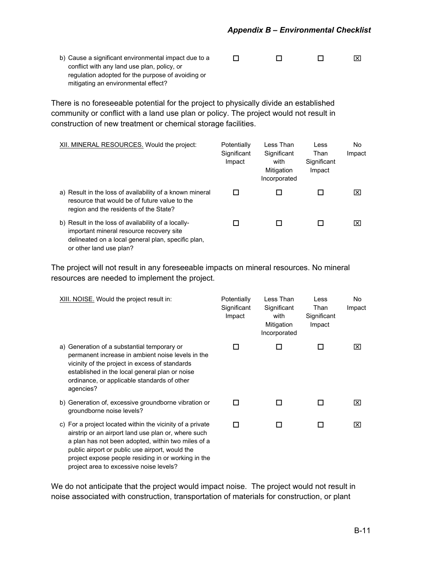b) Cause a significant environmental impact due to a conflict with any land use plan, policy, or regulation adopted for the purpose of avoiding or mitigating an environmental effect?  $\begin{array}{ccccccccccccccccc} \Box & \hspace{1.5cm} & \Box & \hspace{1.5cm} & \Box & \hspace{1.5cm} & \boxtimes \end{array}$ 

There is no foreseeable potential for the project to physically divide an established community or conflict with a land use plan or policy. The project would not result in construction of new treatment or chemical storage facilities.

| XII. MINERAL RESOURCES. Would the project:                                                                                                                                       | Potentially<br>Significant<br>Impact | Less Than<br>Significant<br>with<br>Mitigation<br>Incorporated | Less<br>Than<br>Significant<br>Impact | No.<br>Impact   |
|----------------------------------------------------------------------------------------------------------------------------------------------------------------------------------|--------------------------------------|----------------------------------------------------------------|---------------------------------------|-----------------|
| a) Result in the loss of availability of a known mineral<br>resource that would be of future value to the<br>region and the residents of the State?                              |                                      |                                                                |                                       | $\vert x \vert$ |
| b) Result in the loss of availability of a locally-<br>important mineral resource recovery site<br>delineated on a local general plan, specific plan,<br>or other land use plan? |                                      |                                                                |                                       | IXI             |

The project will not result in any foreseeable impacts on mineral resources. No mineral resources are needed to implement the project.

| XIII. NOISE. Would the project result in:                                                                                                                                                                                                                                                                                   | Potentially<br>Significant<br>Impact | Less Than<br>Significant<br>with<br>Mitigation<br>Incorporated | Less<br>Than<br>Significant<br>Impact | No.<br>Impact           |
|-----------------------------------------------------------------------------------------------------------------------------------------------------------------------------------------------------------------------------------------------------------------------------------------------------------------------------|--------------------------------------|----------------------------------------------------------------|---------------------------------------|-------------------------|
| Generation of a substantial temporary or<br>a)<br>permanent increase in ambient noise levels in the<br>vicinity of the project in excess of standards<br>established in the local general plan or noise<br>ordinance, or applicable standards of other<br>agencies?                                                         | П                                    |                                                                |                                       | $\overline{\mathbf{x}}$ |
| b) Generation of, excessive groundborne vibration or<br>groundborne noise levels?                                                                                                                                                                                                                                           | П                                    | П                                                              | П                                     | ⊠                       |
| c) For a project located within the vicinity of a private<br>airstrip or an airport land use plan or, where such<br>a plan has not been adopted, within two miles of a<br>public airport or public use airport, would the<br>project expose people residing in or working in the<br>project area to excessive noise levels? | П                                    | l 1                                                            | ΙI                                    | ×                       |

We do not anticipate that the project would impact noise. The project would not result in noise associated with construction, transportation of materials for construction, or plant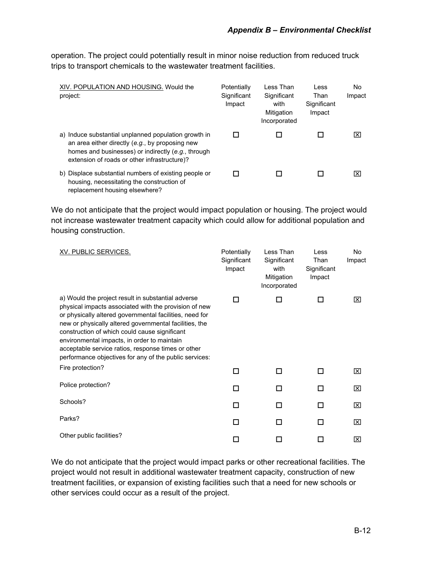operation. The project could potentially result in minor noise reduction from reduced truck trips to transport chemicals to the wastewater treatment facilities.

| XIV. POPULATION AND HOUSING. Would the<br>project:                                                                                                                                                            | Potentially<br>Significant<br>Impact | Less Than<br>Significant<br>with<br>Mitigation<br>Incorporated | Less<br>Than<br>Significant<br>Impact | No.<br>Impact |
|---------------------------------------------------------------------------------------------------------------------------------------------------------------------------------------------------------------|--------------------------------------|----------------------------------------------------------------|---------------------------------------|---------------|
| a) Induce substantial unplanned population growth in<br>an area either directly (e.g., by proposing new<br>homes and businesses) or indirectly (e.g., through<br>extension of roads or other infrastructure)? |                                      |                                                                |                                       | Ι×Ι           |
| b) Displace substantial numbers of existing people or<br>housing, necessitating the construction of<br>replacement housing elsewhere?                                                                         |                                      |                                                                |                                       | l×l           |

We do not anticipate that the project would impact population or housing. The project would not increase wastewater treatment capacity which could allow for additional population and housing construction.

| <b>XV. PUBLIC SERVICES.</b>                                                                                                                                                                                                                                                                                                                                                                                                                      | Potentially<br>Significant<br>Impact | Less Than<br>Significant<br>with<br>Mitigation<br>Incorporated | Less<br>Than<br>Significant<br>Impact | No<br>Impact |
|--------------------------------------------------------------------------------------------------------------------------------------------------------------------------------------------------------------------------------------------------------------------------------------------------------------------------------------------------------------------------------------------------------------------------------------------------|--------------------------------------|----------------------------------------------------------------|---------------------------------------|--------------|
| a) Would the project result in substantial adverse<br>physical impacts associated with the provision of new<br>or physically altered governmental facilities, need for<br>new or physically altered governmental facilities, the<br>construction of which could cause significant<br>environmental impacts, in order to maintain<br>acceptable service ratios, response times or other<br>performance objectives for any of the public services: | П                                    | П                                                              | П                                     | ⊠            |
| Fire protection?                                                                                                                                                                                                                                                                                                                                                                                                                                 | □                                    | П                                                              | П                                     | ⊠            |
| Police protection?                                                                                                                                                                                                                                                                                                                                                                                                                               | П                                    | П                                                              | П                                     | ⊠            |
| Schools?                                                                                                                                                                                                                                                                                                                                                                                                                                         | п                                    | п                                                              | П                                     | ⊠            |
| Parks?                                                                                                                                                                                                                                                                                                                                                                                                                                           | п                                    | п                                                              | п                                     | ⊠            |
| Other public facilities?                                                                                                                                                                                                                                                                                                                                                                                                                         | П                                    | Ш                                                              | ΙI                                    | ⊠            |

We do not anticipate that the project would impact parks or other recreational facilities. The project would not result in additional wastewater treatment capacity, construction of new treatment facilities, or expansion of existing facilities such that a need for new schools or other services could occur as a result of the project.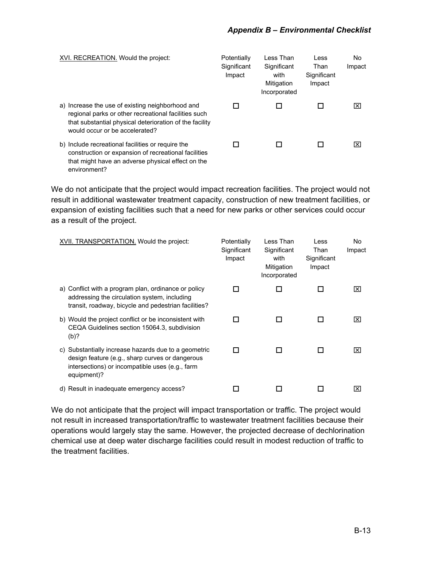| XVI. RECREATION. Would the project:                                                                                                                                                                   | Potentially<br>Significant<br>Impact | Less Than<br>Significant<br>with<br>Mitigation<br>Incorporated | Less<br>Than<br>Significant<br>Impact | No.<br>Impact        |
|-------------------------------------------------------------------------------------------------------------------------------------------------------------------------------------------------------|--------------------------------------|----------------------------------------------------------------|---------------------------------------|----------------------|
| a) Increase the use of existing neighborhood and<br>regional parks or other recreational facilities such<br>that substantial physical deterioration of the facility<br>would occur or be accelerated? |                                      |                                                                |                                       | $\vert \times \vert$ |
| b) Include recreational facilities or require the<br>construction or expansion of recreational facilities<br>that might have an adverse physical effect on the<br>environment?                        |                                      |                                                                |                                       | l×l                  |

We do not anticipate that the project would impact recreation facilities. The project would not result in additional wastewater treatment capacity, construction of new treatment facilities, or expansion of existing facilities such that a need for new parks or other services could occur as a result of the project.

| <b>XVII. TRANSPORTATION.</b> Would the project:                                                                                                                           | Potentially<br>Significant<br>Impact | Less Than<br>Significant<br>with<br>Mitigation<br>Incorporated | Less<br>Than<br>Significant<br>Impact | No<br>Impact |
|---------------------------------------------------------------------------------------------------------------------------------------------------------------------------|--------------------------------------|----------------------------------------------------------------|---------------------------------------|--------------|
| a) Conflict with a program plan, ordinance or policy<br>addressing the circulation system, including<br>transit, roadway, bicycle and pedestrian facilities?              |                                      |                                                                |                                       | Ι×Ι          |
| b) Would the project conflict or be inconsistent with<br>CEQA Guidelines section 15064.3, subdivision<br>(b)?                                                             |                                      |                                                                |                                       | Ι×Ι          |
| c) Substantially increase hazards due to a geometric<br>design feature (e.g., sharp curves or dangerous<br>intersections) or incompatible uses (e.g., farm<br>equipment)? |                                      | ΙI                                                             | ΙI                                    | Ι×Ι          |
| d) Result in inadequate emergency access?                                                                                                                                 |                                      |                                                                |                                       | l×l          |

We do not anticipate that the project will impact transportation or traffic. The project would not result in increased transportation/traffic to wastewater treatment facilities because their operations would largely stay the same. However, the projected decrease of dechlorination chemical use at deep water discharge facilities could result in modest reduction of traffic to the treatment facilities.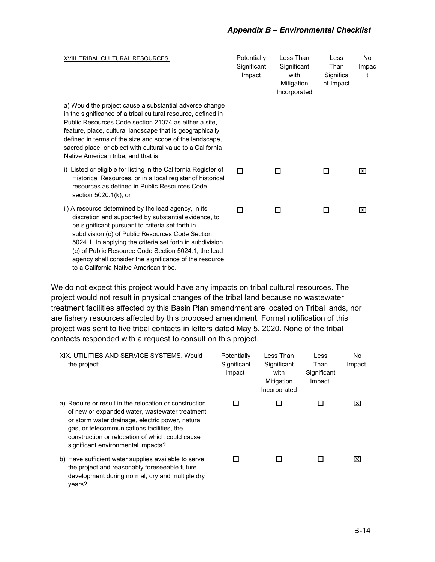#### *Appendix B – Environmental Checklist*

| XVIII. TRIBAL CULTURAL RESOURCES.                                                                                                                                                                                                                                                                                                                                                                                                             | Potentially<br>Significant<br>Impact | Less Than<br>Significant<br>with<br>Mitigation<br>Incorporated | Less<br>Than<br>Significa<br>nt Impact | No<br>Impac<br>t |
|-----------------------------------------------------------------------------------------------------------------------------------------------------------------------------------------------------------------------------------------------------------------------------------------------------------------------------------------------------------------------------------------------------------------------------------------------|--------------------------------------|----------------------------------------------------------------|----------------------------------------|------------------|
| a) Would the project cause a substantial adverse change<br>in the significance of a tribal cultural resource, defined in<br>Public Resources Code section 21074 as either a site.<br>feature, place, cultural landscape that is geographically<br>defined in terms of the size and scope of the landscape,<br>sacred place, or object with cultural value to a California<br>Native American tribe, and that is:                              |                                      |                                                                |                                        |                  |
| i) Listed or eligible for listing in the California Register of<br>Historical Resources, or in a local register of historical<br>resources as defined in Public Resources Code<br>section $5020.1(k)$ , or                                                                                                                                                                                                                                    | П                                    | П                                                              | П                                      | ⊠                |
| ii) A resource determined by the lead agency, in its<br>discretion and supported by substantial evidence, to<br>be significant pursuant to criteria set forth in<br>subdivision (c) of Public Resources Code Section<br>5024.1. In applying the criteria set forth in subdivision<br>(c) of Public Resource Code Section 5024.1, the lead<br>agency shall consider the significance of the resource<br>to a California Native American tribe. | п                                    | п                                                              | П                                      | ⊠                |

We do not expect this project would have any impacts on tribal cultural resources. The project would not result in physical changes of the tribal land because no wastewater treatment facilities affected by this Basin Plan amendment are located on Tribal lands, nor are fishery resources affected by this proposed amendment. Formal notification of this project was sent to five tribal contacts in letters dated May 5, 2020. None of the tribal contacts responded with a request to consult on this project.

| XIX. UTILITIES AND SERVICE SYSTEMS. Would<br>the project:                                                                                                                                                                                                                                           | Potentially<br>Significant<br>Impact | Less Than<br>Significant<br>with<br>Mitigation<br>Incorporated | Less<br>Than<br>Significant<br>Impact | No<br>Impact |
|-----------------------------------------------------------------------------------------------------------------------------------------------------------------------------------------------------------------------------------------------------------------------------------------------------|--------------------------------------|----------------------------------------------------------------|---------------------------------------|--------------|
| a) Require or result in the relocation or construction<br>of new or expanded water, wastewater treatment<br>or storm water drainage, electric power, natural<br>gas, or telecommunications facilities, the<br>construction or relocation of which could cause<br>significant environmental impacts? |                                      |                                                                |                                       | l×l          |
| b) Have sufficient water supplies available to serve<br>the project and reasonably foreseeable future<br>development during normal, dry and multiple dry                                                                                                                                            |                                      |                                                                |                                       | l×l          |

years?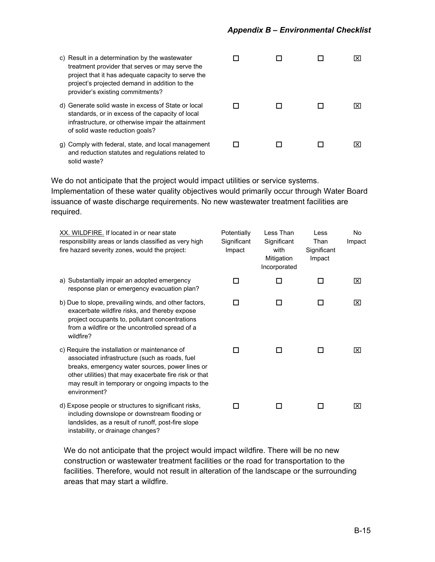| c) Result in a determination by the wastewater<br>treatment provider that serves or may serve the<br>project that it has adequate capacity to serve the<br>project's projected demand in addition to the<br>provider's existing commitments? |  |  |     |
|----------------------------------------------------------------------------------------------------------------------------------------------------------------------------------------------------------------------------------------------|--|--|-----|
| d) Generate solid waste in excess of State or local<br>standards, or in excess of the capacity of local<br>infrastructure, or otherwise impair the attainment<br>of solid waste reduction goals?                                             |  |  | Ixl |
| g) Comply with federal, state, and local management<br>and reduction statutes and regulations related to                                                                                                                                     |  |  | Ixl |

We do not anticipate that the project would impact utilities or service systems. Implementation of these water quality objectives would primarily occur through Water Board issuance of waste discharge requirements. No new wastewater treatment facilities are required.

solid waste?

| XX. WILDFIRE. If located in or near state<br>responsibility areas or lands classified as very high<br>fire hazard severity zones, would the project:                                                                                                                              | Potentially<br>Significant<br>Impact | Less Than<br>Significant<br>with<br>Mitigation<br>Incorporated | Less<br>Than<br>Significant<br>Impact | No.<br>Impact |
|-----------------------------------------------------------------------------------------------------------------------------------------------------------------------------------------------------------------------------------------------------------------------------------|--------------------------------------|----------------------------------------------------------------|---------------------------------------|---------------|
| a) Substantially impair an adopted emergency<br>response plan or emergency evacuation plan?                                                                                                                                                                                       | П                                    | H                                                              | П                                     | ⊠             |
| b) Due to slope, prevailing winds, and other factors,<br>exacerbate wildfire risks, and thereby expose<br>project occupants to, pollutant concentrations<br>from a wildfire or the uncontrolled spread of a<br>wildfire?                                                          | П                                    | П                                                              | П                                     | ⊠             |
| c) Require the installation or maintenance of<br>associated infrastructure (such as roads, fuel<br>breaks, emergency water sources, power lines or<br>other utilities) that may exacerbate fire risk or that<br>may result in temporary or ongoing impacts to the<br>environment? | ΙI                                   | H                                                              | ΙI                                    | ⊠             |
| d) Expose people or structures to significant risks,<br>including downslope or downstream flooding or<br>landslides, as a result of runoff, post-fire slope<br>instability, or drainage changes?                                                                                  | H                                    | H                                                              | П                                     | ⊠             |

We do not anticipate that the project would impact wildfire. There will be no new construction or wastewater treatment facilities or the road for transportation to the facilities. Therefore, would not result in alteration of the landscape or the surrounding areas that may start a wildfire.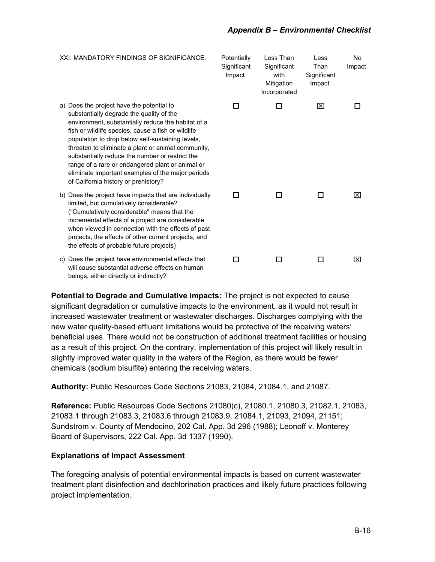#### *Appendix B – Environmental Checklist*

XXI. MANDATORY FINDINGS OF SIGNIFICANCE. Potentially **Significant** Impact Less Than **Significant** with Mitigation Incorporated Less Than **Significant** Impact No Impact a) Does the project have the potential to substantially degrade the quality of the environment, substantially reduce the habitat of a fish or wildlife species, cause a fish or wildlife population to drop below self-sustaining levels, threaten to eliminate a plant or animal community, substantially reduce the number or restrict the range of a rare or endangered plant or animal or eliminate important examples of the major periods of California history or prehistory?  $\begin{array}{ccccccccccccccccc} \Box & \hspace{1.5cm} & \Box & \hspace{1.5cm} & \boxtimes & \hspace{1.5cm} & \Box \hspace{1.5cm} & \end{array}$ b) Does the project have impacts that are individually limited, but cumulatively considerable? ("Cumulatively considerable" means that the incremental effects of a project are considerable when viewed in connection with the effects of past projects, the effects of other current projects, and the effects of probable future projects)  $\begin{array}{ccccccccccccccccc} \Box & \hspace{1.5cm} & \Box & \hspace{1.5cm} & \Box & \hspace{1.5cm} & \boxtimes \end{array}$ c) Does the project have environmental effects that will cause substantial adverse effects on human  $\begin{array}{ccccccccccccccccc} \Box & \hspace{1.5cm} & \Box & \hspace{1.5cm} & \Box & \hspace{1.5cm} & \boxtimes \end{array}$ 

**Potential to Degrade and Cumulative impacts:** The project is not expected to cause significant degradation or cumulative impacts to the environment, as it would not result in increased wastewater treatment or wastewater discharges. Discharges complying with the new water quality-based effluent limitations would be protective of the receiving waters' beneficial uses. There would not be construction of additional treatment facilities or housing as a result of this project. On the contrary, implementation of this project will likely result in slightly improved water quality in the waters of the Region, as there would be fewer chemicals (sodium bisulfite) entering the receiving waters.

**Authority:** Public Resources Code Sections 21083, 21084, 21084.1, and 21087.

**Reference:** Public Resources Code Sections 21080(c), 21080.1, 21080.3, 21082.1, 21083, 21083.1 through 21083.3, 21083.6 through 21083.9, 21084.1, 21093, 21094, 21151; Sundstrom v. County of Mendocino, 202 Cal. App. 3d 296 (1988); Leonoff v. Monterey Board of Supervisors, 222 Cal. App. 3d 1337 (1990).

### **Explanations of Impact Assessment**

beings, either directly or indirectly?

The foregoing analysis of potential environmental impacts is based on current wastewater treatment plant disinfection and dechlorination practices and likely future practices following project implementation.